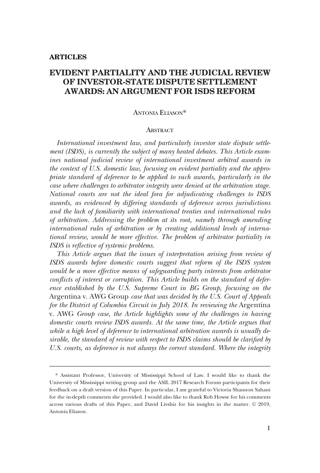# **EVIDENT PARTIALITY AND THE JUDICIAL REVIEW OF INVESTOR-STATE DISPUTE SETTLEMENT AWARDS: AN ARGUMENT FOR ISDS REFORM**

# ANTONIA ELIASON\*

# **ABSTRACT**

*International investment law, and particularly investor state dispute settlement (ISDS), is currently the subject of many heated debates. This Article examines national judicial review of international investment arbitral awards in the context of U.S. domestic law, focusing on evident partiality and the appropriate standard of deference to be applied to such awards, particularly in the case where challenges to arbitrator integrity were denied at the arbitration stage. National courts are not the ideal fora for adjudicating challenges to ISDS awards, as evidenced by differing standards of deference across jurisdictions and the lack of familiarity with international treaties and international rules of arbitration. Addressing the problem at its root, namely through amending international rules of arbitration or by creating additional levels of international review, would be more effective. The problem of arbitrator partiality in ISDS is reflective of systemic problems.* 

*This Article argues that the issues of interpretation arising from review of ISDS awards before domestic courts suggest that reform of the ISDS system would be a more effective means of safeguarding party interests from arbitrator conflicts of interest or corruption. This Article builds on the standard of deference established by the U.S. Supreme Court in BG Group, focusing on the*  Argentina v. AWG Group *case that was decided by the U.S. Court of Appeals for the District of Columbia Circuit in July 2018. In reviewing the* Argentina v. AWG *Group case, the Article highlights some of the challenges in having domestic courts review ISDS awards. At the same time, the Article argues that while a high level of deference to international arbitration awards is usually desirable, the standard of review with respect to ISDS claims should be clarified by U.S. courts, as deference is not always the correct standard. Where the integrity* 

<sup>\*</sup> Assistant Professor, University of Mississippi School of Law. I would like to thank the University of Mississippi writing group and the ASIL 2017 Research Forum participants for their feedback on a draft version of this Paper. In particular, I am grateful to Victoria Shannon Sahani for the in-depth comments she provided. I would also like to thank Rob Howse for his comments across various drafts of this Paper, and David Livshiz for his insights in the matter.  $© 2019$ , Antonia Eliason.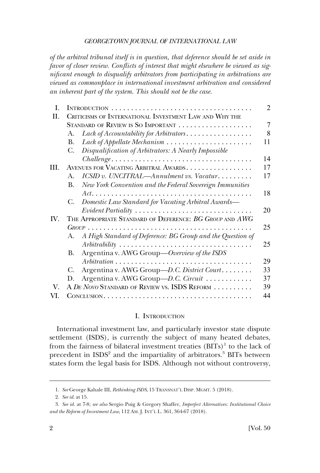*of the arbitral tribunal itself is in question, that deference should be set aside in favor of closer review. Conflicts of interest that might elsewhere be viewed as significant enough to disqualify arbitrators from participating in arbitrations are viewed as commonplace in international investment arbitration and considered an inherent part of the system. This should not be the case.* 

| I.   |                                                         | 2                                                                                               |    |  |
|------|---------------------------------------------------------|-------------------------------------------------------------------------------------------------|----|--|
| H.   | CRITICISMS OF INTERNATIONAL INVESTMENT LAW AND WHY THE  |                                                                                                 |    |  |
|      | STANDARD OF REVIEW IS SO IMPORTANT                      |                                                                                                 | 7  |  |
|      | A.                                                      |                                                                                                 | 8  |  |
|      | B.                                                      | Lack of Appellate Mechanism                                                                     | 11 |  |
|      | $C_{\cdot}$                                             | Disqualification of Arbitrators: A Nearly Impossible                                            |    |  |
|      |                                                         | $\emph{Challenge}\dots \dots \dots \dots \dots \dots \dots \dots \dots \dots \dots \dots \dots$ | 14 |  |
| III. |                                                         | AVENUES FOR VACATING ARBITRAL AWARDS.                                                           |    |  |
|      | $A_{\cdot}$                                             | ICSID v. UNCITRAL—Annulment vs. Vacatur                                                         | 17 |  |
|      | B.                                                      | New York Convention and the Federal Sovereign Immunities                                        |    |  |
|      |                                                         |                                                                                                 | 18 |  |
|      | С.                                                      | Domestic Law Standard for Vacating Arbitral Awards-                                             |    |  |
|      |                                                         |                                                                                                 | 20 |  |
| IV.  | THE APPROPRIATE STANDARD OF DEFERENCE: BG GROUP AND AWG |                                                                                                 |    |  |
|      |                                                         |                                                                                                 | 25 |  |
|      | A.                                                      | A High Standard of Deference: BG Group and the Question of                                      |    |  |
|      |                                                         |                                                                                                 | 25 |  |
|      | В.                                                      | Argentina v. AWG Group—Overview of the ISDS                                                     |    |  |
|      |                                                         | $Arbitration \ldots \ldots \ldots \ldots \ldots \ldots \ldots \ldots \ldots \ldots \ldots$      | 29 |  |
|      | С.                                                      | Argentina v. AWG Group-D.C. District Court                                                      | 33 |  |
|      | D.                                                      | Argentina v. AWG Group-D.C. Circuit                                                             | 37 |  |
| V.   |                                                         | A DE NOVO STANDARD OF REVIEW VS. ISDS REFORM                                                    | 39 |  |
| VI.  |                                                         | 44                                                                                              |    |  |

# I. INTRODUCTION

International investment law, and particularly investor state dispute settlement (ISDS), is currently the subject of many heated debates, from the fairness of bilateral investment treaties  $(BITs)^1$  to the lack of precedent in ISDS<sup>2</sup> and the impartiality of arbitrators.<sup>3</sup> BITs between states form the legal basis for ISDS. Although not without controversy,

<sup>1.</sup> *See* George Kahale III, *Rethinking ISDS*, 15 TRANSNAT'L DISP. MGMT. 5 (2018).

<sup>2.</sup> *See id*. at 15.

<sup>3.</sup> *See id*. at 7-8; *see also* Sergio Puig & Gregory Shaffer, *Imperfect Alternatives: Institutional Choice and the Reform of Investment Law*, 112 AM. J. INT'L L. 361, 364-67 (2018).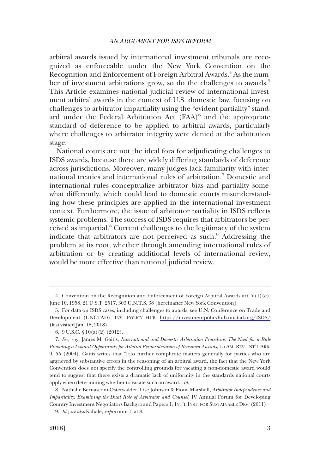# *AN ARGUMENT FOR ISDS REFORM*

arbitral awards issued by international investment tribunals are recognized as enforceable under the New York Convention on the Recognition and Enforcement of Foreign Arbitral Awards.<sup>4</sup> As the number of investment arbitrations grow, so do the challenges to awards.<sup>5</sup> This Article examines national judicial review of international investment arbitral awards in the context of U.S. domestic law, focusing on challenges to arbitrator impartiality using the "evident partiality" standard under the Federal Arbitration Act  $(FAA)^6$  and the appropriate standard of deference to be applied to arbitral awards, particularly where challenges to arbitrator integrity were denied at the arbitration stage.

National courts are not the ideal fora for adjudicating challenges to ISDS awards, because there are widely differing standards of deference across jurisdictions. Moreover, many judges lack familiarity with international treaties and international rules of arbitration.7 Domestic and international rules conceptualize arbitrator bias and partiality somewhat differently, which could lead to domestic courts misunderstanding how these principles are applied in the international investment context. Furthermore, the issue of arbitrator partiality in ISDS reflects systemic problems. The success of ISDS requires that arbitrators be perceived as impartial.8 Current challenges to the legitimacy of the system indicate that arbitrators are not perceived as such.<sup>9</sup> Addressing the problem at its root, whether through amending international rules of arbitration or by creating additional levels of international review, would be more effective than national judicial review.

<sup>4.</sup> Convention on the Recognition and Enforcement of Foreign Arbitral Awards art.  $V(1)(e)$ , June 10, 1958, 21 U.S.T. 2517, 303 U.N.T.S. 38 [hereinafter New York Convention].

For data on ISDS cases, including challenges to awards, see U.N. Conference on Trade and 5. Development (UNCTAD), INV. POLICY HUB, <https://investmentpolicyhub.unctad.org/ISDS/> (last visited Jan. 18, 2018).

<sup>6. 9</sup> U.S.C. § 10(a)(2) (2012).

<sup>7.</sup> *See, e.g*., James M. Gaitis, *International and Domestic Arbitration Procedure: The Need for a Rule Providing a Limited Opportunity for Arbitral Reconsideration of Reasoned Awards*, 15 AM. REV. INT'L ARB. 9, 55 (2004). Gaitis writes that "[t]o further complicate matters generally for parties who are aggrieved by substantive errors in the reasoning of an arbitral award, the fact that the New York Convention does not specify the controlling grounds for vacating a non-domestic award would tend to suggest that there exists a dramatic lack of uniformity in the standards national courts apply when determining whether to vacate such an award." *Id*.

<sup>8.</sup> Nathalie Bernasconi-Osterwalder, Lise Johnson & Fiona Marshall, *Arbitrator Independence and Impartiality: Examining the Dual Role of Arbitrator and Counsel*, IV Annual Forum for Developing Country Investment Negotiators Background Papers 1, INT'L INST. FOR SUSTAINABLE DEV. (2011).

<sup>9.</sup> *Id*.; *see also* Kahale, *supra* note 1, at 8.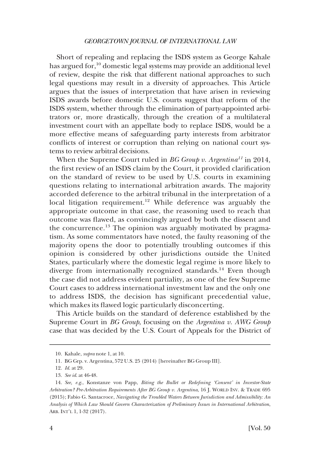Short of repealing and replacing the ISDS system as George Kahale has argued for,<sup>10</sup> domestic legal systems may provide an additional level of review, despite the risk that different national approaches to such legal questions may result in a diversity of approaches. This Article argues that the issues of interpretation that have arisen in reviewing ISDS awards before domestic U.S. courts suggest that reform of the ISDS system, whether through the elimination of party-appointed arbitrators or, more drastically, through the creation of a multilateral investment court with an appellate body to replace ISDS, would be a more effective means of safeguarding party interests from arbitrator conflicts of interest or corruption than relying on national court systems to review arbitral decisions.

When the Supreme Court ruled in *BG Group v. Argentina<sup>11</sup>*in 2014, the first review of an ISDS claim by the Court, it provided clarification on the standard of review to be used by U.S. courts in examining questions relating to international arbitration awards. The majority accorded deference to the arbitral tribunal in the interpretation of a local litigation requirement.<sup>12</sup> While deference was arguably the appropriate outcome in that case, the reasoning used to reach that outcome was flawed, as convincingly argued by both the dissent and the concurrence.13 The opinion was arguably motivated by pragmatism. As some commentators have noted, the faulty reasoning of the majority opens the door to potentially troubling outcomes if this opinion is considered by other jurisdictions outside the United States, particularly where the domestic legal regime is more likely to diverge from internationally recognized standards.<sup>14</sup> Even though the case did not address evident partiality, as one of the few Supreme Court cases to address international investment law and the only one to address ISDS, the decision has significant precedential value, which makes its flawed logic particularly disconcerting.

This Article builds on the standard of deference established by the Supreme Court in *BG Group*, focusing on the *Argentina v. AWG Group*  case that was decided by the U.S. Court of Appeals for the District of

<sup>10.</sup> Kahale, *supra* note 1, at 10.

<sup>11.</sup> BG Grp. v. Argentina, 572 U.S. 25 (2014) [hereinafter BG Group III].

<sup>12.</sup> *Id*. at 29.

<sup>13.</sup> *See id*. at 46-48.

<sup>14.</sup> *See, e.g*., Konstanze von Papp, *Biting the Bullet or Redefining 'Consent' in Investor-State Arbitration? Pre-Arbitration Requirements After BG Group v. Argentina*, 16 J. WORLD INV. & TRADE 695 (2015); Fabio G. Santacroce, *Navigating the Troubled Waters Between Jurisdiction and Admissibility: An Analysis of Which Law Should Govern Characterization of Preliminary Issues in International Arbitration*, ARB. INT'L 1, 1-32 (2017).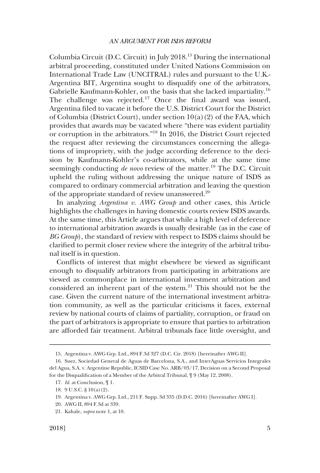Columbia Circuit (D.C. Circuit) in July 2018.15 During the international arbitral proceeding, constituted under United Nations Commission on International Trade Law (UNCITRAL) rules and pursuant to the U.K.- Argentina BIT, Argentina sought to disqualify one of the arbitrators, Gabrielle Kaufmann-Kohler, on the basis that she lacked impartiality.<sup>16</sup> The challenge was rejected.<sup>17</sup> Once the final award was issued, Argentina filed to vacate it before the U.S. District Court for the District of Columbia (District Court), under section  $10(a)(2)$  of the FAA, which provides that awards may be vacated where "there was evident partiality or corruption in the arbitrators."18 In 2016, the District Court rejected the request after reviewing the circumstances concerning the allegations of impropriety, with the judge according deference to the decision by Kaufmann-Kohler's co-arbitrators, while at the same time seemingly conducting *de novo* review of the matter.<sup>19</sup> The D.C. Circuit upheld the ruling without addressing the unique nature of ISDS as compared to ordinary commercial arbitration and leaving the question of the appropriate standard of review unanswered.<sup>20</sup>

In analyzing *Argentina v. AWG Group* and other cases, this Article highlights the challenges in having domestic courts review ISDS awards. At the same time, this Article argues that while a high level of deference to international arbitration awards is usually desirable (as in the case of *BG Group*), the standard of review with respect to ISDS claims should be clarified to permit closer review where the integrity of the arbitral tribunal itself is in question.

Conflicts of interest that might elsewhere be viewed as significant enough to disqualify arbitrators from participating in arbitrations are viewed as commonplace in international investment arbitration and considered an inherent part of the system.<sup>21</sup> This should not be the case. Given the current nature of the international investment arbitration community, as well as the particular criticisms it faces, external review by national courts of claims of partiality, corruption, or fraud on the part of arbitrators is appropriate to ensure that parties to arbitration are afforded fair treatment. Arbitral tribunals face little oversight, and

<sup>15.</sup> Argentina v. AWG Grp. Ltd., 894 F.3d 327 (D.C. Cir. 2018) [hereinafter AWG II].

<sup>16.</sup> Suez, Sociedad General de Aguas de Barcelona, S.A., and InterAguas Servicios Integrales del Agua, S.A. v. Argentine Republic, ICSID Case No. ARB/03/17, Decision on a Second Proposal for the Disqualification of a Member of the Arbitral Tribunal, ¶ 9 (May 12, 2008).

<sup>17.</sup> *Id*. at Conclusion, ¶ 1.

<sup>18. 9</sup> U.S.C. § 10(a)(2).

<sup>19.</sup> Argentina v. AWG Grp. Ltd., 211 F. Supp. 3d 335 (D.D.C. 2016) [hereinafter AWG I].

<sup>20.</sup> AWG II, 894 F.3d at 339.

<sup>21.</sup> Kahale, *supra* note 1, at 10.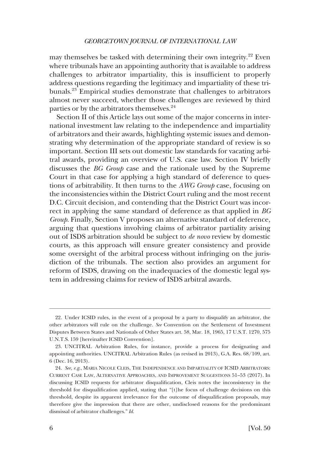may themselves be tasked with determining their own integrity.<sup>22</sup> Even where tribunals have an appointing authority that is available to address challenges to arbitrator impartiality, this is insufficient to properly address questions regarding the legitimacy and impartiality of these tribunals.23 Empirical studies demonstrate that challenges to arbitrators almost never succeed, whether those challenges are reviewed by third parties or by the arbitrators themselves.<sup>24</sup>

Section II of this Article lays out some of the major concerns in international investment law relating to the independence and impartiality of arbitrators and their awards, highlighting systemic issues and demonstrating why determination of the appropriate standard of review is so important. Section III sets out domestic law standards for vacating arbitral awards, providing an overview of U.S. case law. Section IV briefly discusses the *BG Group* case and the rationale used by the Supreme Court in that case for applying a high standard of deference to questions of arbitrability. It then turns to the *AWG Group* case, focusing on the inconsistencies within the District Court ruling and the most recent D.C. Circuit decision, and contending that the District Court was incorrect in applying the same standard of deference as that applied in *BG Group*. Finally, Section V proposes an alternative standard of deference, arguing that questions involving claims of arbitrator partiality arising out of ISDS arbitration should be subject to *de novo* review by domestic courts, as this approach will ensure greater consistency and provide some oversight of the arbitral process without infringing on the jurisdiction of the tribunals. The section also provides an argument for reform of ISDS, drawing on the inadequacies of the domestic legal system in addressing claims for review of ISDS arbitral awards.

<sup>22.</sup> Under ICSID rules, in the event of a proposal by a party to disqualify an arbitrator, the other arbitrators will rule on the challenge. *See* Convention on the Settlement of Investment Disputes Between States and Nationals of Other States art. 58, Mar. 18, 1965, 17 U.S.T. 1270, 575 U.N.T.S. 159 [hereinafter ICSID Convention].

<sup>23.</sup> UNCITRAL Arbitration Rules, for instance, provide a process for designating and appointing authorities. UNCITRAL Arbitration Rules (as revised in 2013), G.A. Res. 68/109, art. 6 (Dec. 16, 2013).

<sup>24.</sup> *See, e.g*., MARIA NICOLE CLEIS, THE INDEPENDENCE AND IMPARTIALITY OF ICSID ARBITRATORS: CURRENT CASE LAW, ALTERNATIVE APPROACHES, AND IMPROVEMENT SUGGESTIONS 51–53 (2017). In discussing ICSID requests for arbitrator disqualification, Cleis notes the inconsistency in the threshold for disqualification applied, stating that "[t]he focus of challenge decisions on this threshold, despite its apparent irrelevance for the outcome of disqualification proposals, may therefore give the impression that there are other, undisclosed reasons for the predominant dismissal of arbitrator challenges." *Id*.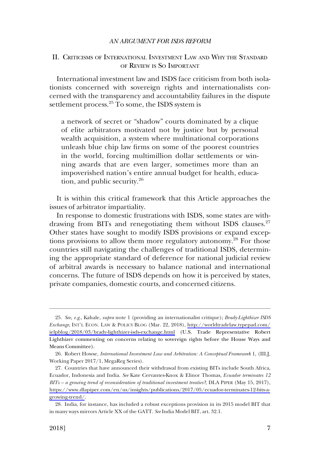# *AN ARGUMENT FOR ISDS REFORM*

# <span id="page-6-0"></span>II. CRITICISMS OF INTERNATIONAL INVESTMENT LAW AND WHY THE STANDARD OF REVIEW IS SO IMPORTANT

International investment law and ISDS face criticism from both isolationists concerned with sovereign rights and internationalists concerned with the transparency and accountability failures in the dispute settlement process.<sup>25</sup> To some, the ISDS system is

a network of secret or "shadow" courts dominated by a clique of elite arbitrators motivated not by justice but by personal wealth acquisition, a system where multinational corporations unleash blue chip law firms on some of the poorest countries in the world, forcing multimillion dollar settlements or winning awards that are even larger, sometimes more than an impoverished nation's entire annual budget for health, education, and public security.<sup>26</sup>

It is within this critical framework that this Article approaches the issues of arbitrator impartiality.

In response to domestic frustrations with ISDS, some states are withdrawing from BITs and renegotiating them without ISDS clauses.<sup>27</sup> Other states have sought to modify ISDS provisions or expand exceptions provisions to allow them more regulatory autonomy.<sup>28</sup> For those countries still navigating the challenges of traditional ISDS, determining the appropriate standard of deference for national judicial review of arbitral awards is necessary to balance national and international concerns. The future of ISDS depends on how it is perceived by states, private companies, domestic courts, and concerned citizens.

*See, e.g*., Kahale, *supra* note 1 (providing an internationalist critique); *Brady-Lighthizer ISDS*  25. *Exchange*, INT'L ECON. LAW & POLICY BLOG (Mar. 22, 2018), [http://worldtradelaw.typepad.com/](http://worldtradelaw.typepad.com/ielpblog/2018/03/brady-lighthizer-isds-exchange.html)  [ielpblog/2018/03/brady-lighthizer-isds-exchange.html](http://worldtradelaw.typepad.com/ielpblog/2018/03/brady-lighthizer-isds-exchange.html) (U.S. Trade Representative Robert Lighthizer commenting on concerns relating to sovereign rights before the House Ways and Means Committee).

<sup>26.</sup> Robert Howse, *International Investment Law and Arbitration: A Conceptual Framework* 1, (IILJ, Working Paper 2017/1, MegaReg Series).

<sup>27.</sup> Countries that have announced their withdrawal from existing BITs include South Africa, Ecuador, Indonesia and India. *See* Kate Cervantes-Knox & Elinor Thomas, *Ecuador terminates 12 BITs – a growing trend of reconsideration of traditional investment treaties?*, DLA PIPER (May 15, 2017), [https://www.dlapiper.com/en/us/insights/publications/2017/05/ecuador-terminates-12-bits-a](https://www.dlapiper.com/en/us/insights/publications/2017/05/ecuador-terminates-12-bits-a-growing-trend/)[growing-trend/.](https://www.dlapiper.com/en/us/insights/publications/2017/05/ecuador-terminates-12-bits-a-growing-trend/)

<sup>28.</sup> India, for instance, has included a robust exceptions provision in its 2015 model BIT that in many ways mirrors Article XX of the GATT. *See* India Model BIT, art. 32.1.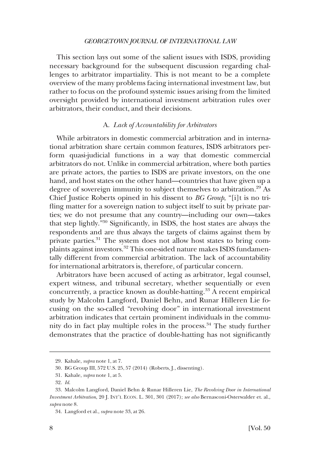<span id="page-7-0"></span>This section lays out some of the salient issues with ISDS, providing necessary background for the subsequent discussion regarding challenges to arbitrator impartiality. This is not meant to be a complete overview of the many problems facing international investment law, but rather to focus on the profound systemic issues arising from the limited oversight provided by international investment arbitration rules over arbitrators, their conduct, and their decisions.

### A. *Lack of Accountability for Arbitrators*

While arbitrators in domestic commercial arbitration and in international arbitration share certain common features, ISDS arbitrators perform quasi-judicial functions in a way that domestic commercial arbitrators do not. Unlike in commercial arbitration, where both parties are private actors, the parties to ISDS are private investors, on the one hand, and host states on the other hand—countries that have given up a degree of sovereign immunity to subject themselves to arbitration.<sup>29</sup> As Chief Justice Roberts opined in his dissent to *BG Group*, "[i]t is no trifling matter for a sovereign nation to subject itself to suit by private parties; we do not presume that any country—including our own—takes that step lightly."30 Significantly, in ISDS, the host states are always the respondents and are thus always the targets of claims against them by private parties.<sup>31</sup> The system does not allow host states to bring complaints against investors.32 This one-sided nature makes ISDS fundamentally different from commercial arbitration. The lack of accountability for international arbitrators is, therefore, of particular concern.

Arbitrators have been accused of acting as arbitrator, legal counsel, expert witness, and tribunal secretary, whether sequentially or even concurrently, a practice known as double-hatting.<sup>33</sup> A recent empirical study by Malcolm Langford, Daniel Behn, and Runar Hilleren Lie focusing on the so-called "revolving door" in international investment arbitration indicates that certain prominent individuals in the community do in fact play multiple roles in the process.<sup>34</sup> The study further demonstrates that the practice of double-hatting has not significantly

<sup>29.</sup> Kahale, *supra* note 1, at 7.

<sup>30.</sup> BG Group III, 572 U.S. 25, 57 (2014) (Roberts, J., dissenting).

<sup>31.</sup> Kahale, *supra* note 1, at 5.

<sup>32.</sup> *Id*.

<sup>33.</sup> Malcolm Langford, Daniel Behn & Runar Hilleren Lie, *The Revolving Door in International Investment Arbitration*, 20 J. INT'L ECON. L. 301, 301 (2017); *see also* Bernasconi-Osterwalder et. al., *supra* note 8.

<sup>34.</sup> Langford et al., *supra* note 33, at 26.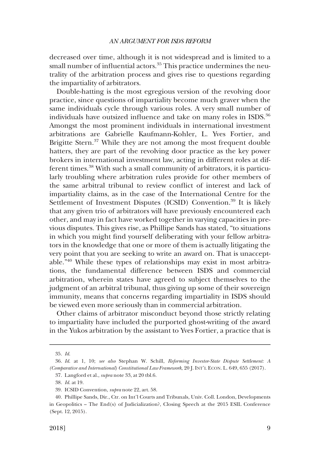decreased over time, although it is not widespread and is limited to a small number of influential actors.<sup>35</sup> This practice undermines the neutrality of the arbitration process and gives rise to questions regarding the impartiality of arbitrators.

Double-hatting is the most egregious version of the revolving door practice, since questions of impartiality become much graver when the same individuals cycle through various roles. A very small number of individuals have outsized influence and take on many roles in ISDS.<sup>36</sup> Amongst the most prominent individuals in international investment arbitrations are Gabrielle Kaufmann-Kohler, L. Yves Fortier, and Brigitte Stern.<sup>37</sup> While they are not among the most frequent double hatters, they are part of the revolving door practice as the key power brokers in international investment law, acting in different roles at different times.38 With such a small community of arbitrators, it is particularly troubling where arbitration rules provide for other members of the same arbitral tribunal to review conflict of interest and lack of impartiality claims, as in the case of the International Centre for the Settlement of Investment Disputes (ICSID) Convention.<sup>39</sup> It is likely that any given trio of arbitrators will have previously encountered each other, and may in fact have worked together in varying capacities in previous disputes. This gives rise, as Phillipe Sands has stated, "to situations in which you might find yourself deliberating with your fellow arbitrators in the knowledge that one or more of them is actually litigating the very point that you are seeking to write an award on. That is unacceptable."40 While these types of relationships may exist in most arbitrations, the fundamental difference between ISDS and commercial arbitration, wherein states have agreed to subject themselves to the judgment of an arbitral tribunal, thus giving up some of their sovereign immunity, means that concerns regarding impartiality in ISDS should be viewed even more seriously than in commercial arbitration.

Other claims of arbitrator misconduct beyond those strictly relating to impartiality have included the purported ghost-writing of the award in the Yukos arbitration by the assistant to Yves Fortier, a practice that is

<sup>35.</sup> *Id*.

<sup>36.</sup> *Id*. at 1, 10; *see also* Stephan W. Schill, *Reforming Investor-State Dispute Settlement: A (Comparative and International) Constitutional Law Framework*, 20 J. INT'L ECON. L. 649, 655 (2017).

<sup>37.</sup> Langford et al., *supra* note 33, at 20 tbl.6.

<sup>38.</sup> *Id*. at 19.

<sup>39.</sup> ICSID Convention, *supra* note 22, art. 58.

<sup>40.</sup> Phillipe Sands, Dir., Ctr. on Int'l Courts and Tribunals, Univ. Coll. London, Developments in Geopolitics – The End(s) of Judicialization?, Closing Speech at the 2015 ESIL Conference (Sept. 12, 2015).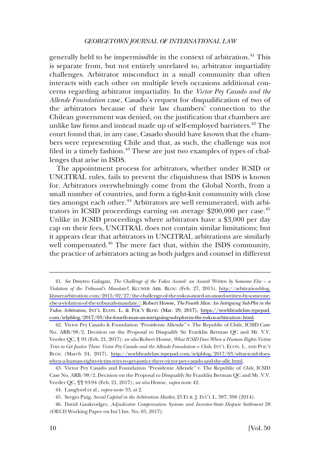generally held to be impermissible in the context of arbitration.<sup>41</sup> This is separate from, but not entirely unrelated to, arbitrator impartiality challenges. Arbitrator misconduct in a small community that often interacts with each other on multiple levels occasions additional concerns regarding arbitrator impartiality. In the *Victor Pey Casado and the Allende Foundation* case, Casado's request for disqualification of two of the arbitrators because of their law chambers' connection to the Chilean government was denied, on the justification that chambers are unlike law firms and instead made up of self-employed barristers.<sup>42</sup> The court found that, in any case, Casado should have known that the chambers were representing Chile and that, as such, the challenge was not filed in a timely fashion.<sup>43</sup> These are just two examples of types of challenges that arise in ISDS.

The appointment process for arbitrators, whether under ICSID or UNCITRAL rules, fails to prevent the cliquishness that ISDS is known for. Arbitrators overwhelmingly come from the Global North, from a small number of countries, and form a tight-knit community with close ties amongst each other.<sup>44</sup> Arbitrators are well remunerated, with arbitrators in ICSID proceedings earning on average \$200,000 per case.<sup>45</sup> Unlike in ICSID proceedings where arbitrators have a \$3,000 per day cap on their fees, UNCITRAL does not contain similar limitations; but it appears clear that arbitrators in UNCITRAL arbitrations are similarly well compensated.<sup>46</sup> The mere fact that, within the ISDS community, the practice of arbitrators acting as both judges and counsel in different

*See* Dmytro Galagan, *The Challenge of the Yukos Award: an Award Written by Someone Else – a*  41. *Violation of the Tribunal's Mandate?*, KLUWER ARB. BLOG (Feb. 27, 2015), [http://arbitrationblog.](http://arbitrationblog.kluwerarbitration.com/2015/02/27/the-challenge-of-the-yukos-award-an-award-written-by-someone-else-a-violation-of-the-tribunals-mandate/)  [kluwerarbitration.com/2015/02/27/the-challenge-of-the-yukos-award-an-award-written-by-someone](http://arbitrationblog.kluwerarbitration.com/2015/02/27/the-challenge-of-the-yukos-award-an-award-written-by-someone-else-a-violation-of-the-tribunals-mandate/)[else-a-violation-of-the-tribunals-mandate/](http://arbitrationblog.kluwerarbitration.com/2015/02/27/the-challenge-of-the-yukos-award-an-award-written-by-someone-else-a-violation-of-the-tribunals-mandate/); Robert Howse, *The Fourth Man: An Intriguing Sub-Plot in the Yukos Arbitration*, INT'L ECON. L. & POL'Y BLOG (Mar. 29, 2017), [https://worldtradelaw.typepad.](https://worldtradelaw.typepad.com/ielpblog/2017/03/the-fourth-man-an-intriguing-sub-plot-in-the-yukos-arbitration-.html)  [com/ielpblog/2017/03/the-fourth-man-an-intriguing-sub-plot-in-the-yukos-arbitration-.html](https://worldtradelaw.typepad.com/ielpblog/2017/03/the-fourth-man-an-intriguing-sub-plot-in-the-yukos-arbitration-.html).

<sup>42.</sup> Victor Pey Casado & Foundation "Presidente Allende" v. The Republic of Chile, ICSID Case No. ARB/98/2, Decision on the Proposal to Disqualify Sir Franklin Berman QC and Mr. V.V. Veeder QC, ¶ 93 (Feb. 21, 2017); *see also* Robert Howse, *What ICSID Does When a Human Rights Victim Tries to Get Justice There: Victor Pey Casado and the Allende Foundation v Chile*, INT'L ECON. L. AND POL'Y BLOG (March 24, 2017), [http://worldtradelaw.typepad.com/ielpblog/2017/03/what-icsid-does](http://worldtradelaw.typepad.com/ielpblog/2017/03/what-icsid-does-when-a-human-rights-victim-tries-to-get-justice-there-victor-pey-casado-and-the-alle.html)[when-a-human-rights-victim-tries-to-get-justice-there-victor-pey-casado-and-the-alle.html](http://worldtradelaw.typepad.com/ielpblog/2017/03/what-icsid-does-when-a-human-rights-victim-tries-to-get-justice-there-victor-pey-casado-and-the-alle.html).

<sup>43.</sup> Victor Pey Casado and Foundation "Presidente Allende" v. The Republic of *Chile*, ICSID Case No. ARB/98/2, Decision on the Proposal to Disqualify Sir Franklin Berman QC and Mr. V.V. Veeder QC, ¶¶ 93-94 (Feb. 21, 2017); *see also* Howse, *supra* note 42.

<sup>44.</sup> Langford et al., *supra* note 33, at 2.

<sup>45.</sup> Sergio Puig, *Social Capital in the Arbitration Market*, 25 EUR. J. INT'L L. 387, 398 (2014).

<sup>46.</sup> David Gaukrodger, *Adjudicator Compensation Systems and Investor-State Dispute Settlement* 28 (OECD Working Paper on Int'l Inv. No. 05, 2017).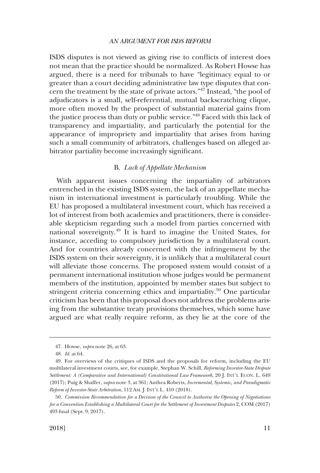<span id="page-10-0"></span>ISDS disputes is not viewed as giving rise to conflicts of interest does not mean that the practice should be normalized. As Robert Howse has argued, there is a need for tribunals to have "legitimacy equal to or greater than a court deciding administrative law type disputes that concern the treatment by the state of private actors."47 Instead, "the pool of adjudicators is a small, self-referential, mutual backscratching clique, more often moved by the prospect of substantial material gains from the justice process than duty or public service."48 Faced with this lack of transparency and impartiality, and particularly the potential for the appearance of impropriety and impartiality that arises from having such a small community of arbitrators, challenges based on alleged arbitrator partiality become increasingly significant.

# B. *Lack of Appellate Mechanism*

With apparent issues concerning the impartiality of arbitrators entrenched in the existing ISDS system, the lack of an appellate mechanism in international investment is particularly troubling. While the EU has proposed a multilateral investment court, which has received a lot of interest from both academics and practitioners, there is considerable skepticism regarding such a model from parties concerned with national sovereignty.49 It is hard to imagine the United States, for instance, acceding to compulsory jurisdiction by a multilateral court. And for countries already concerned with the infringement by the ISDS system on their sovereignty, it is unlikely that a multilateral court will alleviate those concerns. The proposed system would consist of a permanent international institution whose judges would be permanent members of the institution, appointed by member states but subject to stringent criteria concerning ethics and impartiality.<sup>50</sup> One particular criticism has been that this proposal does not address the problems arising from the substantive treaty provisions themselves, which some have argued are what really require reform, as they lie at the core of the

<sup>47.</sup> Howse, *supra* note 26, at 63.

<sup>48.</sup> *Id*. at 64.

<sup>49.</sup> For overviews of the critiques of ISDS and the proposals for reform, including the EU multilateral investment courts, see, for example, Stephan W. Schill, *Reforming Investor-State Dispute Settlement: A (Comparative and International) Constitutional Law Framework*, 20 J. INT'L ECON. L. 649 (2017); Puig & Shaffer, *supra* note 3, at 361; Anthea Roberts, *Incremental, Systemic, and Paradigmatic Reform of Investor-State Arbitration*, 112 AM. J. INT'L L. 410 (2018).

<sup>50.</sup> *Commission Recommendation for a Decision of the Council to Authorise the Opening of Negotiations for a Convention Establishing a Multilateral Court for the Settlement of Investment Disputes* 2, COM (2017) 493 final (Sept. 9, 2017).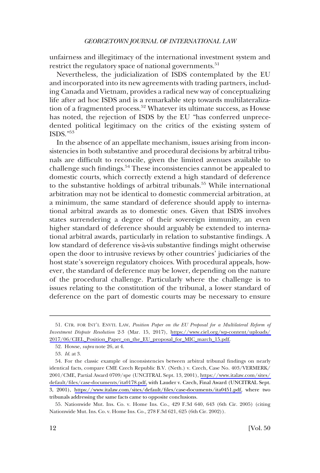unfairness and illegitimacy of the international investment system and restrict the regulatory space of national governments.<sup>51</sup>

Nevertheless, the judicialization of ISDS contemplated by the EU and incorporated into its new agreements with trading partners, including Canada and Vietnam, provides a radical new way of conceptualizing life after ad hoc ISDS and is a remarkable step towards multilateralization of a fragmented process.<sup>52</sup> Whatever its ultimate success, as Howse has noted, the rejection of ISDS by the EU "has conferred unprecedented political legitimacy on the critics of the existing system of ISDS."53

In the absence of an appellate mechanism, issues arising from inconsistencies in both substantive and procedural decisions by arbitral tribunals are difficult to reconcile, given the limited avenues available to challenge such findings.<sup>54</sup> These inconsistencies cannot be appealed to domestic courts, which correctly extend a high standard of deference to the substantive holdings of arbitral tribunals.<sup>55</sup> While international arbitration may not be identical to domestic commercial arbitration, at a minimum, the same standard of deference should apply to international arbitral awards as to domestic ones. Given that ISDS involves states surrendering a degree of their sovereign immunity, an even higher standard of deference should arguably be extended to international arbitral awards, particularly in relation to substantive findings. A low standard of deference vis-à-vis substantive findings might otherwise open the door to intrusive reviews by other countries' judiciaries of the host state's sovereign regulatory choices. With procedural appeals, however, the standard of deference may be lower, depending on the nature of the procedural challenge. Particularly where the challenge is to issues relating to the constitution of the tribunal, a lower standard of deference on the part of domestic courts may be necessary to ensure

<sup>51.</sup> CTR. FOR INT'L ENVTL LAW, *Position Paper on the EU Proposal for a Multilateral Reform of Investment Dispute Resolution* 2-3 (Mar. 15, 2017), [https://www.ciel.org/wp-content/uploads/](https://www.ciel.org/wp-content/uploads/2017/06/CIEL_Position_Paper_on_the_EU_proposal_for_MIC_march_15.pdf)  [2017/06/CIEL\\_Position\\_Paper\\_on\\_the\\_EU\\_proposal\\_for\\_MIC\\_march\\_15.pdf.](https://www.ciel.org/wp-content/uploads/2017/06/CIEL_Position_Paper_on_the_EU_proposal_for_MIC_march_15.pdf)

<sup>52.</sup> Howse, *supra* note 26, at 4.

<sup>53.</sup> *Id*. at 3.

For the classic example of inconsistencies between arbitral tribunal findings on nearly 54. identical facts, compare CME Czech Republic B.V. (Neth.) v. Czech, Case No. 403/VERMERK/ 2001/CME, Partial Award 0709/spe (UNCITRAL Sept. 13, 2001), [https://www.italaw.com/sites/](https://www.italaw.com/sites/default/files/case-documents/ita0178.pdf)  [default/files/case-documents/ita0178.pdf,](https://www.italaw.com/sites/default/files/case-documents/ita0178.pdf) with Lauder v. Czech, Final Award (UNCITRAL Sept. 3, 2001), [https://www.italaw.com/sites/default/files/case-documents/ita0451.pdf,](https://www.italaw.com/sites/default/files/case-documents/ita0451.pdf) where two tribunals addressing the same facts came to opposite conclusions.

<sup>55.</sup> Nationwide Mut. Ins. Co. v. Home Ins. Co., 429 F.3d 640, 643 (6th Cir. 2005) (citing Nationwide Mut. Ins. Co. v. Home Ins. Co., 278 F.3d 621, 625 (6th Cir. 2002)).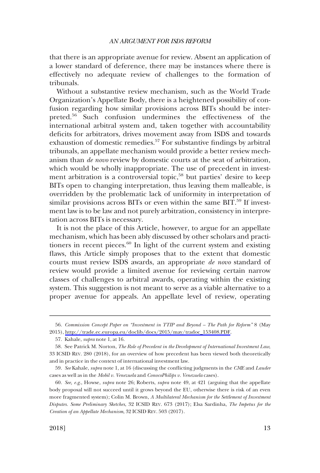that there is an appropriate avenue for review. Absent an application of a lower standard of deference, there may be instances where there is effectively no adequate review of challenges to the formation of tribunals.

Without a substantive review mechanism, such as the World Trade Organization's Appellate Body, there is a heightened possibility of confusion regarding how similar provisions across BITs should be interpreted.56 Such confusion undermines the effectiveness of the international arbitral system and, taken together with accountability deficits for arbitrators, drives movement away from ISDS and towards exhaustion of domestic remedies.<sup>57</sup> For substantive findings by arbitral tribunals, an appellate mechanism would provide a better review mechanism than *de novo* review by domestic courts at the seat of arbitration, which would be wholly inappropriate. The use of precedent in investment arbitration is a controversial topic,<sup>58</sup> but parties' desire to keep BITs open to changing interpretation, thus leaving them malleable, is overridden by the problematic lack of uniformity in interpretation of similar provisions across BITs or even within the same BIT.<sup>59</sup> If investment law is to be law and not purely arbitration, consistency in interpretation across BITs is necessary.

It is not the place of this Article, however, to argue for an appellate mechanism, which has been ably discussed by other scholars and practitioners in recent pieces. $60$  In light of the current system and existing flaws, this Article simply proposes that to the extent that domestic courts must review ISDS awards, an appropriate *de novo* standard of review would provide a limited avenue for reviewing certain narrow classes of challenges to arbitral awards, operating within the existing system. This suggestion is not meant to serve as a viable alternative to a proper avenue for appeals. An appellate level of review, operating

<sup>56.</sup> Commission Concept Paper on "Investment in TTIP and Beyond – The Path for Reform" 8 (May 2015), [http://trade.ec.europa.eu/doclib/docs/2015/may/tradoc\\_153408.PDF.](http://trade.ec.europa.eu/doclib/docs/2015/may/tradoc_153408.PDF)

<sup>57.</sup> Kahale, *supra* note 1, at 16.

<sup>58.</sup> See Patrick M. Norton, *The Role of Precedent in the Development of International Investment Law*, 33 ICSID REV. 280 (2018), for an overview of how precedent has been viewed both theoretically and in practice in the context of international investment law.

<sup>59.</sup> *See* Kahale, *supra* note 1, at 16 (discussing the conflicting judgments in the *CME* and *Lauder*  cases as well as in the *Mobil v. Venezuela* and *ConocoPhilips v. Venezuela* cases).

<sup>60.</sup> *See, e.g*., Howse, *supra* note 26; Roberts, *supra* note 49, at 421 (arguing that the appellate body proposal will not succeed until it grows beyond the EU, otherwise there is risk of an even more fragmented system); Colin M. Brown, *A Multilateral Mechanism for the Settlement of Investment Disputes. Some Preliminary Sketches*, 32 ICSID REV. 673 (2017); Elsa Sardinha, *The Impetus for the Creation of an Appellate Mechanism*, 32 ICSID REV. 503 (2017).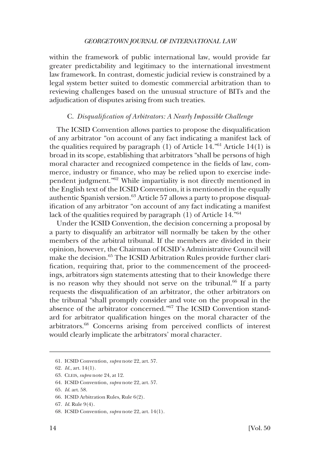<span id="page-13-0"></span>within the framework of public international law, would provide far greater predictability and legitimacy to the international investment law framework. In contrast, domestic judicial review is constrained by a legal system better suited to domestic commercial arbitration than to reviewing challenges based on the unusual structure of BITs and the adjudication of disputes arising from such treaties.

# C. *Disqualification of Arbitrators: A Nearly Impossible Challenge*

The ICSID Convention allows parties to propose the disqualification of any arbitrator "on account of any fact indicating a manifest lack of the qualities required by paragraph  $(1)$  of Article 14.<sup>"61</sup> Article 14 $(1)$  is broad in its scope, establishing that arbitrators "shall be persons of high moral character and recognized competence in the fields of law, commerce, industry or finance, who may be relied upon to exercise independent judgment."62 While impartiality is not directly mentioned in the English text of the ICSID Convention, it is mentioned in the equally authentic Spanish version.<sup>63</sup> Article 57 allows a party to propose disqualification of any arbitrator "on account of any fact indicating a manifest lack of the qualities required by paragraph (1) of Article 14."64

Under the ICSID Convention, the decision concerning a proposal by a party to disqualify an arbitrator will normally be taken by the other members of the arbitral tribunal. If the members are divided in their opinion, however, the Chairman of ICSID's Administrative Council will make the decision.<sup>65</sup> The ICSID Arbitration Rules provide further clarification, requiring that, prior to the commencement of the proceedings, arbitrators sign statements attesting that to their knowledge there is no reason why they should not serve on the tribunal.<sup>66</sup> If a party requests the disqualification of an arbitrator, the other arbitrators on the tribunal "shall promptly consider and vote on the proposal in the absence of the arbitrator concerned."67 The ICSID Convention standard for arbitrator qualification hinges on the moral character of the arbitrators.68 Concerns arising from perceived conflicts of interest would clearly implicate the arbitrators' moral character.

<sup>61.</sup> ICSID Convention, *supra* note 22, art. 57.

<sup>62.</sup> *Id*., art. 14(1).

<sup>63.</sup> CLEIS, *supra* note 24, at 12.

<sup>64.</sup> ICSID Convention, *supra* note 22, art. 57.

<sup>65.</sup> *Id*. art. 58.

<sup>66.</sup> ICSID Arbitration Rules, Rule 6(2).

<sup>67.</sup> *Id*. Rule 9(4).

<sup>68.</sup> ICSID Convention, *supra* note 22, art. 14(1).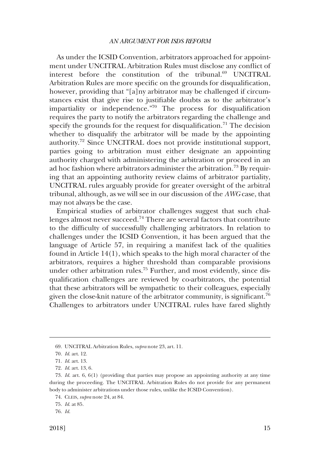As under the ICSID Convention, arbitrators approached for appointment under UNCITRAL Arbitration Rules must disclose any conflict of interest before the constitution of the tribunal.69 UNCITRAL Arbitration Rules are more specific on the grounds for disqualification, however, providing that "[a]ny arbitrator may be challenged if circumstances exist that give rise to justifiable doubts as to the arbitrator's impartiality or independence."70 The process for disqualification requires the party to notify the arbitrators regarding the challenge and specify the grounds for the request for disqualification.<sup>71</sup> The decision whether to disqualify the arbitrator will be made by the appointing authority.72 Since UNCITRAL does not provide institutional support, parties going to arbitration must either designate an appointing authority charged with administering the arbitration or proceed in an ad hoc fashion where arbitrators administer the arbitration.<sup>73</sup> By requiring that an appointing authority review claims of arbitrator partiality, UNCITRAL rules arguably provide for greater oversight of the arbitral tribunal, although, as we will see in our discussion of the *AWG* case, that may not always be the case.

Empirical studies of arbitrator challenges suggest that such challenges almost never succeed.74 There are several factors that contribute to the difficulty of successfully challenging arbitrators. In relation to challenges under the ICSID Convention, it has been argued that the language of Article 57, in requiring a manifest lack of the qualities found in Article 14(1), which speaks to the high moral character of the arbitrators, requires a higher threshold than comparable provisions under other arbitration rules.<sup>75</sup> Further, and most evidently, since disqualification challenges are reviewed by co-arbitrators, the potential that these arbitrators will be sympathetic to their colleagues, especially given the close-knit nature of the arbitrator community, is significant.<sup>76</sup> Challenges to arbitrators under UNCITRAL rules have fared slightly

<sup>69.</sup> UNCITRAL Arbitration Rules, *supra* note 23, art. 11.

<sup>70.</sup> *Id*. art. 12.

<sup>71.</sup> *Id*. art. 13.

<sup>72.</sup> *Id*. art. 13, 6.

<sup>73.</sup> *Id*. art. 6, 6(1) (providing that parties may propose an appointing authority at any time during the proceeding. The UNCITRAL Arbitration Rules do not provide for any permanent body to administer arbitrations under those rules, unlike the ICSID Convention).

<sup>74.</sup> CLEIS, *supra* note 24, at 84.

<sup>75.</sup> *Id*. at 85.

<sup>76.</sup> *Id*.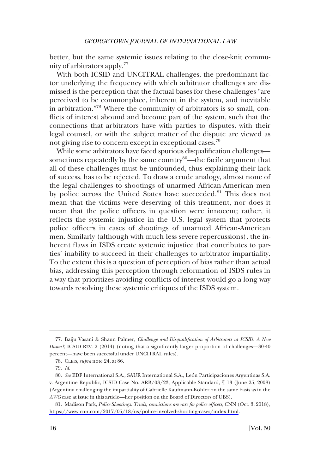better, but the same systemic issues relating to the close-knit community of arbitrators apply.77

With both ICSID and UNCITRAL challenges, the predominant factor underlying the frequency with which arbitrator challenges are dismissed is the perception that the factual bases for these challenges "are perceived to be commonplace, inherent in the system, and inevitable in arbitration."78 Where the community of arbitrators is so small, conflicts of interest abound and become part of the system, such that the connections that arbitrators have with parties to disputes, with their legal counsel, or with the subject matter of the dispute are viewed as not giving rise to concern except in exceptional cases.<sup>79</sup>

While some arbitrators have faced spurious disqualification challenges sometimes repeatedly by the same country<sup>80</sup>—the facile argument that all of these challenges must be unfounded, thus explaining their lack of success, has to be rejected. To draw a crude analogy, almost none of the legal challenges to shootings of unarmed African-American men by police across the United States have succeeded.<sup>81</sup> This does not mean that the victims were deserving of this treatment, nor does it mean that the police officers in question were innocent; rather, it reflects the systemic injustice in the U.S. legal system that protects police officers in cases of shootings of unarmed African-American men. Similarly (although with much less severe repercussions), the inherent flaws in ISDS create systemic injustice that contributes to parties' inability to succeed in their challenges to arbitrator impartiality. To the extent this is a question of perception of bias rather than actual bias, addressing this perception through reformation of ISDS rules in a way that prioritizes avoiding conflicts of interest would go a long way towards resolving these systemic critiques of the ISDS system.

<sup>77.</sup> Baiju Vasani & Shaun Palmer, *Challenge and Disqualification of Arbitrators at ICSID: A New Dawn?*, ICSID REV. 2 (2014) (noting that a significantly larger proportion of challenges—30-40 percent—have been successful under UNCITRAL rules).

<sup>78.</sup> CLEIS, *supra* note 24, at 86.

<sup>79.</sup> *Id*.

<sup>80.</sup> See EDF International S.A., SAUR International S.A., León Participaciones Argentinas S.A. v. Argentine Republic, ICSID Case No. ARB/03/23, Applicable Standard, ¶ 13 (June 25, 2008) (Argentina challenging the impartiality of Gabrielle Kaufmann-Kohler on the same basis as in the *AWG* case at issue in this article—her position on the Board of Directors of UBS).

<sup>81.</sup> Madison Park, *Police Shootings: Trials, convictions are rare for police officers*, CNN (Oct. 3, 2018), [https://www.cnn.com/2017/05/18/us/police-involved-shooting-cases/index.html.](https://www.cnn.com/2017/05/18/us/police-involved-shooting-cases/index.html)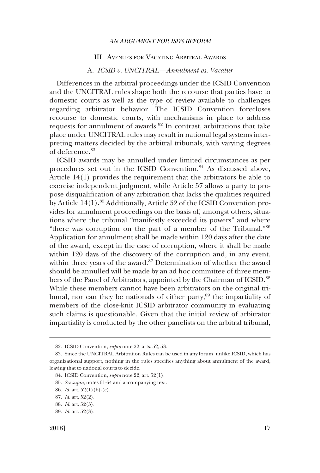# *AN ARGUMENT FOR ISDS REFORM*

#### III. AVENUES FOR VACATING ARBITRAL AWARDS

# A. *ICSID v. UNCITRAL—Annulment vs. Vacatur*

<span id="page-16-0"></span>Differences in the arbitral proceedings under the ICSID Convention and the UNCITRAL rules shape both the recourse that parties have to domestic courts as well as the type of review available to challenges regarding arbitrator behavior. The ICSID Convention forecloses recourse to domestic courts, with mechanisms in place to address requests for annulment of awards.<sup>82</sup> In contrast, arbitrations that take place under UNCITRAL rules may result in national legal systems interpreting matters decided by the arbitral tribunals, with varying degrees of deference.83

ICSID awards may be annulled under limited circumstances as per procedures set out in the ICSID Convention.<sup>84</sup> As discussed above, Article 14(1) provides the requirement that the arbitrators be able to exercise independent judgment, while Article 57 allows a party to propose disqualification of any arbitration that lacks the qualities required by Article 14(1).<sup>85</sup> Additionally, Article 52 of the ICSID Convention provides for annulment proceedings on the basis of, amongst others, situations where the tribunal "manifestly exceeded its powers" and where "there was corruption on the part of a member of the Tribunal."86 Application for annulment shall be made within 120 days after the date of the award, except in the case of corruption, where it shall be made within 120 days of the discovery of the corruption and, in any event, within three years of the award. $87$  Determination of whether the award should be annulled will be made by an ad hoc committee of three members of the Panel of Arbitrators, appointed by the Chairman of ICSID.<sup>88</sup> While these members cannot have been arbitrators on the original tribunal, nor can they be nationals of either party, $^{89}$  the impartiality of members of the close-knit ICSID arbitrator community in evaluating such claims is questionable. Given that the initial review of arbitrator impartiality is conducted by the other panelists on the arbitral tribunal,

<sup>82.</sup> ICSID Convention, *supra* note 22, arts. 52, 53.

<sup>83.</sup> Since the UNCITRAL Arbitration Rules can be used in any forum, unlike ICSID, which has organizational support, nothing in the rules specifies anything about annulment of the award, leaving that to national courts to decide.

<sup>84.</sup> ICSID Convention, *supra* note 22, art. 52(1).

<sup>85.</sup> *See supra*, notes 61-64 and accompanying text.

<sup>86.</sup> *Id*. art. 52(1)(b)-(c).

<sup>87.</sup> *Id*. art. 52(2).

<sup>88.</sup> *Id*. art. 52(3).

<sup>89.</sup> *Id*. art. 52(3).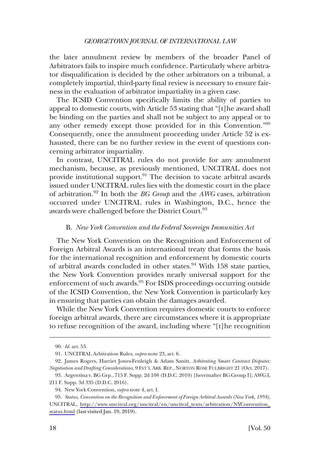<span id="page-17-0"></span>the later annulment review by members of the broader Panel of Arbitrators fails to inspire much confidence. Particularly where arbitrator disqualification is decided by the other arbitrators on a tribunal, a completely impartial, third-party final review is necessary to ensure fairness in the evaluation of arbitrator impartiality in a given case.

The ICSID Convention specifically limits the ability of parties to appeal to domestic courts, with Article 53 stating that "[t]he award shall be binding on the parties and shall not be subject to any appeal or to any other remedy except those provided for in this Convention."90 Consequently, once the annulment proceeding under Article 52 is exhausted, there can be no further review in the event of questions concerning arbitrator impartiality.

In contrast, UNCITRAL rules do not provide for any annulment mechanism, because, as previously mentioned, UNCITRAL does not provide institutional support.91 The decision to vacate arbitral awards issued under UNCITRAL rules lies with the domestic court in the place of arbitration.92 In both the *BG Group* and the *AWG* cases, arbitration occurred under UNCITRAL rules in Washington, D.C., hence the awards were challenged before the District Court.<sup>93</sup>

#### B. *New York Convention and the Federal Sovereign Immunities Act*

The New York Convention on the Recognition and Enforcement of Foreign Arbitral Awards is an international treaty that forms the basis for the international recognition and enforcement by domestic courts of arbitral awards concluded in other states.<sup>94</sup> With 158 state parties, the New York Convention provides nearly universal support for the enforcement of such awards.<sup>95</sup> For ISDS proceedings occurring outside of the ICSID Convention, the New York Convention is particularly key in ensuring that parties can obtain the damages awarded.

While the New York Convention requires domestic courts to enforce foreign arbitral awards, there are circumstances where it is appropriate to refuse recognition of the award, including where "[t]he recognition

<sup>90.</sup> *Id*. art. 53.

<sup>91.</sup> UNCITRAL Arbitration Rules, *supra* note 23, art. 6.

<sup>92.</sup> James Rogers, Harriet Jones-Fenleigh & Adam Sanitt, *Arbitrating Smart Contract Disputes: Negotiation and Drafting Considerations*, 9 INT'L ARB. REP., NORTON ROSE FULBRIGHT 21 (Oct. 2017).

<sup>93.</sup> Argentina v. BG Grp., 715 F. Supp. 2d 108 (D.D.C. 2010) [hereinafter BG Group I]; AWG I, 211 F. Supp. 3d 335 (D.D.C. 2016).

<sup>94.</sup> New York Convention, *supra* note 4, art. I.

*Status, Convention on the Recognition and Enforcement of Foreign Arbitral Awards (New York, 1958)*, 95. UNCITRAL, [http://www.uncitral.org/uncitral/en/uncitral\\_texts/arbitration/NYConvention\\_](http://www.uncitral.org/uncitral/en/uncitral_texts/arbitration/NYConvention_status.html) [status.html](http://www.uncitral.org/uncitral/en/uncitral_texts/arbitration/NYConvention_status.html) (last visited Jan. 19, 2019).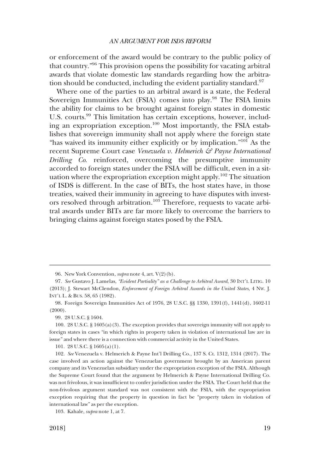# *AN ARGUMENT FOR ISDS REFORM*

or enforcement of the award would be contrary to the public policy of that country."96 This provision opens the possibility for vacating arbitral awards that violate domestic law standards regarding how the arbitration should be conducted, including the evident partiality standard. $97$ 

Where one of the parties to an arbitral award is a state, the Federal Sovereign Immunities Act (FSIA) comes into play.98 The FSIA limits the ability for claims to be brought against foreign states in domestic U.S. courts.<sup>99</sup> This limitation has certain exceptions, however, including an expropriation exception.100 Most importantly, the FSIA establishes that sovereign immunity shall not apply where the foreign state "has waived its immunity either explicitly or by implication."101 As the recent Supreme Court case *Venezuela v. Helmerich & Payne International Drilling Co*. reinforced, overcoming the presumptive immunity accorded to foreign states under the FSIA will be difficult, even in a situation where the expropriation exception might apply.<sup>102</sup> The situation of ISDS is different. In the case of BITs, the host states have, in those treaties, waived their immunity in agreeing to have disputes with investors resolved through arbitration.<sup>103</sup> Therefore, requests to vacate arbitral awards under BITs are far more likely to overcome the barriers to bringing claims against foreign states posed by the FSIA.

101. 28 U.S.C. § 1605(a)(1).

<sup>96.</sup> New York Convention, *supra* note 4, art. V(2)(b).

<sup>97.</sup> *See* Gustavo J. Lamelas, *"Evident Partiality" as a Challenge to Arbitral Award*, 30 INT'L LITIG. 10 (2013); J. Stewart McClendon, *Enforcement of Foreign Arbitral Awards in the United States*, 4 NW. J. INT'L L. & BUS. 58, 65 (1982).

<sup>98.</sup> Foreign Sovereign Immunities Act of 1976, 28 U.S.C. §§ 1330, 1391(f), 1441(d), 1602-11 (2000).

<sup>99. 28</sup> U.S.C. § 1604.

<sup>100. 28</sup> U.S.C. § 1605(a)(3). The exception provides that sovereign immunity will not apply to foreign states in cases "in which rights in property taken in violation of international law are in issue" and where there is a connection with commercial activity in the United States.

<sup>102.</sup> *See* Venezuela v. Helmerich & Payne Int'l Drilling Co., 137 S. Ct. 1312, 1314 (2017). The case involved an action against the Venezuelan government brought by an American parent company and its Venezuelan subsidiary under the expropriation exception of the FSIA. Although the Supreme Court found that the argument by Helmerich & Payne International Drilling Co. was not frivolous, it was insufficient to confer jurisdiction under the FSIA. The Court held that the non-frivolous argument standard was not consistent with the FSIA, with the expropriation exception requiring that the property in question in fact be "property taken in violation of international law" as per the exception.

<sup>103.</sup> Kahale, *supra* note 1, at 7.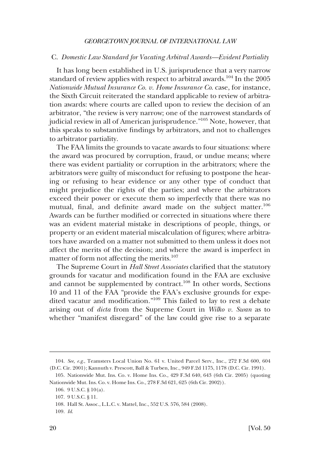# <span id="page-19-0"></span>C. *Domestic Law Standard for Vacating Arbitral Awards—Evident Partiality*

It has long been established in U.S. jurisprudence that a very narrow standard of review applies with respect to arbitral awards.<sup>104</sup> In the  $2005$ *Nationwide Mutual Insurance Co. v. Home Insurance Co*. case, for instance, the Sixth Circuit reiterated the standard applicable to review of arbitration awards: where courts are called upon to review the decision of an arbitrator, "the review is very narrow; one of the narrowest standards of judicial review in all of American jurisprudence."105 Note, however, that this speaks to substantive findings by arbitrators, and not to challenges to arbitrator partiality.

The FAA limits the grounds to vacate awards to four situations: where the award was procured by corruption, fraud, or undue means; where there was evident partiality or corruption in the arbitrators; where the arbitrators were guilty of misconduct for refusing to postpone the hearing or refusing to hear evidence or any other type of conduct that might prejudice the rights of the parties; and where the arbitrators exceed their power or execute them so imperfectly that there was no mutual, final, and definite award made on the subject matter.<sup>106</sup> Awards can be further modified or corrected in situations where there was an evident material mistake in descriptions of people, things, or property or an evident material miscalculation of figures; where arbitrators have awarded on a matter not submitted to them unless it does not affect the merits of the decision; and where the award is imperfect in matter of form not affecting the merits.<sup>107</sup>

The Supreme Court in *Hall Street Associates* clarified that the statutory grounds for vacatur and modification found in the FAA are exclusive and cannot be supplemented by contract.<sup>108</sup> In other words, Sections 10 and 11 of the FAA "provide the FAA's exclusive grounds for expedited vacatur and modification."109 This failed to lay to rest a debate arising out of *dicta* from the Supreme Court in *Wilko v. Swan* as to whether "manifest disregard" of the law could give rise to a separate

<sup>104.</sup> *See, e.g*., Teamsters Local Union No. 61 v. United Parcel Serv., Inc., 272 F.3d 600, 604 (D.C. Cir. 2001); Kannuth v. Prescott, Ball & Turben, Inc., 949 F.2d 1175, 1178 (D.C. Cir. 1991).

<sup>105.</sup> Nationwide Mut. Ins. Co. v. Home Ins. Co., 429 F.3d 640, 643 (6th Cir. 2005) (quoting Nationwide Mut. Ins. Co. v. Home Ins. Co., 278 F.3d 621, 625 (6th Cir. 2002)).

<sup>106. 9</sup> U.S.C. § 10(a).

<sup>107. 9</sup> U.S.C. § 11.

<sup>108.</sup> Hall St. Assoc., L.L.C. v. Mattel, Inc., 552 U.S. 576, 584 (2008).

<sup>109.</sup> *Id*.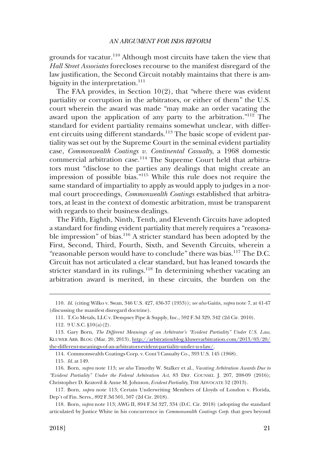grounds for vacatur.110 Although most circuits have taken the view that *Hall Street Associates* forecloses recourse to the manifest disregard of the law justification, the Second Circuit notably maintains that there is ambiguity in the interpretation. $^{111}$ 

The FAA provides, in Section  $10(2)$ , that "where there was evident partiality or corruption in the arbitrators, or either of them" the U.S. court wherein the award was made "may make an order vacating the award upon the application of any party to the arbitration."112 The standard for evident partiality remains somewhat unclear, with different circuits using different standards.<sup>113</sup> The basic scope of evident partiality was set out by the Supreme Court in the seminal evident partiality case, *Commonwealth Coatings v. Continental Casualty*, a 1968 domestic commercial arbitration case.<sup>114</sup> The Supreme Court held that arbitrators must "disclose to the parties any dealings that might create an impression of possible bias."115 While this rule does not require the same standard of impartiality to apply as would apply to judges in a normal court proceedings, *Commonwealth Coatings* established that arbitrators, at least in the context of domestic arbitration, must be transparent with regards to their business dealings.

The Fifth, Eighth, Ninth, Tenth, and Eleventh Circuits have adopted a standard for finding evident partiality that merely requires a "reasonable impression" of bias.<sup>116</sup> A stricter standard has been adopted by the First, Second, Third, Fourth, Sixth, and Seventh Circuits, wherein a "reasonable person would have to conclude" there was bias.<sup>117</sup> The D.C. Circuit has not articulated a clear standard, but has leaned towards the stricter standard in its rulings.<sup>118</sup> In determining whether vacating an arbitration award is merited, in these circuits, the burden on the

114. Commonwealth Coatings Corp. v. Cont'l Casualty Co., 393 U.S. 145 (1968).

<sup>110.</sup> *Id*. (citing Wilko v. Swan, 346 U.S. 427, 436-37 (1953)); *see also* Gaitis, *supra* note 7, at 41-47 (discussing the manifest disregard doctrine).

<sup>111.</sup> T.Co Metals, LLC v. Dempsey Pipe & Supply, Inc., 592 F.3d 329, 342 (2d Cir. 2010).

<sup>112. 9</sup> U.S.C. §10(a)(2).

<sup>113.</sup> Gary Born, *The Different Meanings of an Arbitrator's "Evident Partiality" Under U.S. Law*, KLUWER ARB. BLOG (Mar. 20, 2013), [http://arbitrationblog.kluwerarbitration.com/2013/03/20/](http://arbitrationblog.kluwerarbitration.com/2013/03/20/the-different-meanings-of-an-arbitrators-evident-partiality-under-u-s-law/) [the-different-meanings-of-an-arbitrators-evident-partiality-under-u-s-law/.](http://arbitrationblog.kluwerarbitration.com/2013/03/20/the-different-meanings-of-an-arbitrators-evident-partiality-under-u-s-law/)

<sup>115.</sup> *Id*. at 149.

<sup>116.</sup> Born, *supra* note 113; *see also* Timothy W. Stalker et al., *Vacating Arbitration Awards Due to "Evident Partiality" Under the Federal Arbitration Act*, 83 DEF. COUNSEL J. 207, 208-09 (2016); Christopher D. Kratovil & Anne M. Johnson, *Evident Partiality*, THE ADVOCATE 52 (2013).

<sup>117.</sup> Born, *supra* note 113; Certain Underwriting Members of Lloyds of London v. Florida, Dep't of Fin. Servs., 892 F.3d 501, 507 (2d Cir. 2018).

<sup>118.</sup> Born, *supra* note 113; AWG II, 894 F.3d 327, 334 (D.C. Cir. 2018) (adopting the standard articulated by Justice White in his concurrence in *Commonwealth Coatings Corp*. that goes beyond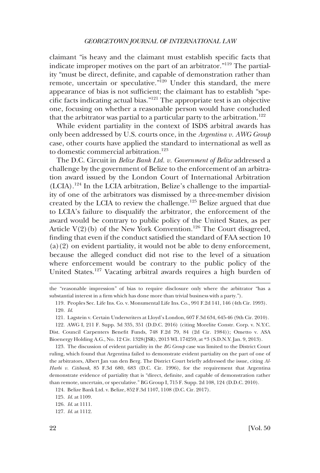claimant "is heavy and the claimant must establish specific facts that indicate improper motives on the part of an arbitrator."119 The partiality "must be direct, definite, and capable of demonstration rather than remote, uncertain or speculative."120 Under this standard, the mere appearance of bias is not sufficient; the claimant has to establish "specific facts indicating actual bias."121 The appropriate test is an objective one, focusing on whether a reasonable person would have concluded that the arbitrator was partial to a particular party to the arbitration.<sup>122</sup>

While evident partiality in the context of ISDS arbitral awards has only been addressed by U.S. courts once, in the *Argentina v. AWG Group*  case, other courts have applied the standard to international as well as to domestic commercial arbitration.<sup>123</sup>

The D.C. Circuit in *Belize Bank Ltd. v. Government of Belize* addressed a challenge by the government of Belize to the enforcement of an arbitration award issued by the London Court of International Arbitration (LCIA).124 In the LCIA arbitration, Belize's challenge to the impartiality of one of the arbitrators was dismissed by a three-member division created by the LCIA to review the challenge.125 Belize argued that due to LCIA's failure to disqualify the arbitrator, the enforcement of the award would be contrary to public policy of the United States, as per Article  $V(2)(b)$  of the New York Convention.<sup>126</sup> The Court disagreed, finding that even if the conduct satisfied the standard of FAA section 10 (a)(2) on evident partiality, it would not be able to deny enforcement, because the alleged conduct did not rise to the level of a situation where enforcement would be contrary to the public policy of the United States.127 Vacating arbitral awards requires a high burden of

123. The discussion of evident partiality in the *BG Group* case was limited to the District Court ruling, which found that Argentina failed to demonstrate evident partiality on the part of one of the arbitrators, Albert Jan van den Berg. The District Court briefly addressed the issue, citing *Al-Harbi v. Citibank*, 85 F.3d 680, 683 (D.C. Cir. 1996), for the requirement that Argentina demonstrate evidence of partiality that is "direct, definite, and capable of demonstration rather than remote, uncertain, or speculative." BG Group I, 715 F. Supp. 2d 108, 124 (D.D.C. 2010).

the "reasonable impression" of bias to require disclosure only where the arbitrator "has a substantial interest in a firm which has done more than trivial business with a party.").

<sup>119.</sup> Peoples Sec. Life Ins. Co. v. Monumental Life Ins. Co., 991 F.2d 141, 146 (4th Cir. 1993). 120. *Id*.

<sup>121.</sup> Lagstein v. Certain Underwriters at Lloyd's London, 607 F.3d 634, 645-46 (9th Cir. 2010).

<sup>122.</sup> AWG I, 211 F. Supp. 3d 335, 351 (D.D.C. 2016) (citing Morelite Constr. Corp. v. N.Y.C. Dist. Council Carpenters Benefit Funds, 748 F.2d 79, 84 (2d Cir. 1984)); Ometto v. ASA Bioenergy Holding A.G., No. 12 Civ. 1328(JSR), 2013 WL 174259, at \*3 (S.D.N.Y. Jan. 9, 2013).

<sup>124.</sup> Belize Bank Ltd. v. Belize, 852 F.3d 1107, 1108 (D.C. Cir. 2017).

<sup>125.</sup> *Id*. at 1109.

<sup>126.</sup> *Id*. at 1111.

<sup>127.</sup> *Id*. at 1112.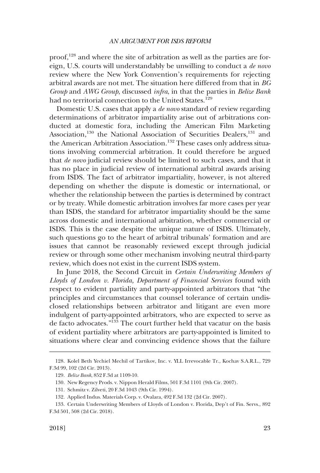proof,<sup>128</sup> and where the site of arbitration as well as the parties are foreign, U.S. courts will understandably be unwilling to conduct a *de novo*  review where the New York Convention's requirements for rejecting arbitral awards are not met. The situation here differed from that in *BG Group* and *AWG Group*, discussed *infra*, in that the parties in *Belize Bank*  had no territorial connection to the United States.<sup>129</sup>

Domestic U.S. cases that apply a *de novo* standard of review regarding determinations of arbitrator impartiality arise out of arbitrations conducted at domestic fora, including the American Film Marketing Association,<sup>130</sup> the National Association of Securities Dealers,<sup>131</sup> and the American Arbitration Association.<sup>132</sup> These cases only address situations involving commercial arbitration. It could therefore be argued that *de novo* judicial review should be limited to such cases, and that it has no place in judicial review of international arbitral awards arising from ISDS. The fact of arbitrator impartiality, however, is not altered depending on whether the dispute is domestic or international, or whether the relationship between the parties is determined by contract or by treaty. While domestic arbitration involves far more cases per year than ISDS, the standard for arbitrator impartiality should be the same across domestic and international arbitration, whether commercial or ISDS. This is the case despite the unique nature of ISDS. Ultimately, such questions go to the heart of arbitral tribunals' formation and are issues that cannot be reasonably reviewed except through judicial review or through some other mechanism involving neutral third-party review, which does not exist in the current ISDS system.

In June 2018, the Second Circuit in *Certain Underwriting Members of Lloyds of London v. Florida, Department of Financial Services* found with respect to evident partiality and party-appointed arbitrators that "the principles and circumstances that counsel tolerance of certain undisclosed relationships between arbitrator and litigant are even more indulgent of party-appointed arbitrators, who are expected to serve as de facto advocates."133 The court further held that vacatur on the basis of evident partiality where arbitrators are party-appointed is limited to situations where clear and convincing evidence shows that the failure

<sup>128.</sup> Kolel Beth Yechiel Mechil of Tartikov, Inc. v. YLL Irrevocable Tr., Kochav S.A.R.L., 729 F.3d 99, 102 (2d Cir. 2013).

<sup>129.</sup> *Belize Bank*, 852 F.3d at 1109-10.

<sup>130.</sup> New Regency Prods. v. Nippon Herald Films, 501 F.3d 1101 (9th Cir. 2007).

<sup>131.</sup> Schmitz v. Zilveti, 20 F.3d 1043 (9th Cir. 1994).

<sup>132.</sup> Applied Indus. Materials Corp. v. Ovalara, 492 F.3d 132 (2d Cir. 2007).

<sup>133.</sup> Certain Underwriting Members of Lloyds of London v. Florida, Dep't of Fin. Servs., 892 F.3d 501, 508 (2d Cir. 2018).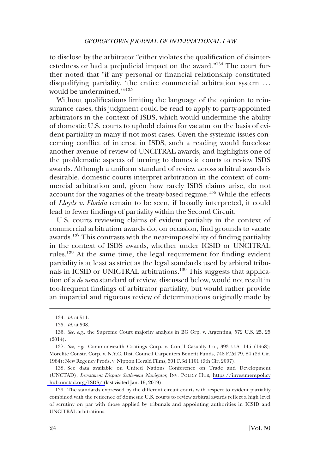to disclose by the arbitrator "either violates the qualification of disinterestedness or had a prejudicial impact on the award."134 The court further noted that "if any personal or financial relationship constituted disqualifying partiality, 'the entire commercial arbitration system . . . would be undermined.'"135

Without qualifications limiting the language of the opinion to reinsurance cases, this judgment could be read to apply to party-appointed arbitrators in the context of ISDS, which would undermine the ability of domestic U.S. courts to uphold claims for vacatur on the basis of evident partiality in many if not most cases. Given the systemic issues concerning conflict of interest in ISDS, such a reading would foreclose another avenue of review of UNCITRAL awards, and highlights one of the problematic aspects of turning to domestic courts to review ISDS awards. Although a uniform standard of review across arbitral awards is desirable, domestic courts interpret arbitration in the context of commercial arbitration and, given how rarely ISDS claims arise, do not account for the vagaries of the treaty-based regime.<sup>136</sup> While the effects of *Lloyds v. Florida* remain to be seen, if broadly interpreted, it could lead to fewer findings of partiality within the Second Circuit.

U.S. courts reviewing claims of evident partiality in the context of commercial arbitration awards do, on occasion, find grounds to vacate awards.137 This contrasts with the near-impossibility of finding partiality in the context of ISDS awards, whether under ICSID or UNCITRAL rules.<sup>138</sup> At the same time, the legal requirement for finding evident partiality is at least as strict as the legal standards used by arbitral tribunals in ICSID or UNICTRAL arbitrations.<sup>139</sup> This suggests that application of a *de novo* standard of review, discussed below, would not result in too-frequent findings of arbitrator partiality, but would rather provide an impartial and rigorous review of determinations originally made by

138. See data available on United Nations Conference on Trade and Development (UNCTAD), *Investment Dispute Settlement Navigator*, INV. POLICY HUB, [https://investmentpolicy](https://investmentpolicyhub.unctad.org/ISDS/)  [hub.unctad.org/ISDS/ \(](https://investmentpolicyhub.unctad.org/ISDS/)last visited Jan. 19, 2019).

<sup>134.</sup> *Id*. at 511.

<sup>135.</sup> *Id*. at 508.

<sup>136.</sup> *See, e.g*., the Supreme Court majority analysis in BG Grp. v. Argentina, 572 U.S. 25, 25 (2014).

<sup>137.</sup> *See, e.g*., Commonwealth Coatings Corp. v. Cont'l Casualty Co., 393 U.S. 145 (1968); Morelite Constr. Corp. v. N.Y.C. Dist. Council Carpenters Benefit Funds, 748 F.2d 79, 84 (2d Cir. 1984); New Regency Prods. v. Nippon Herald Films, 501 F.3d 1101 (9th Cir. 2007).

<sup>139.</sup> The standards expressed by the different circuit courts with respect to evident partiality combined with the reticence of domestic U.S. courts to review arbitral awards reflect a high level of scrutiny on par with those applied by tribunals and appointing authorities in ICSID and UNCITRAL arbitrations.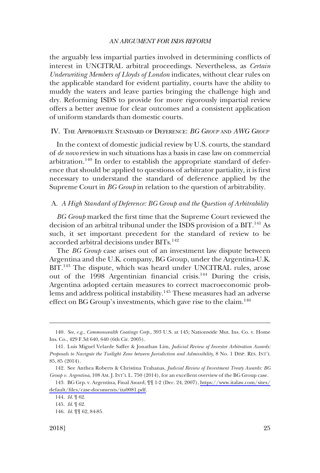# *AN ARGUMENT FOR ISDS REFORM*

<span id="page-24-0"></span>the arguably less impartial parties involved in determining conflicts of interest in UNCITRAL arbitral proceedings. Nevertheless, as *Certain Underwriting Members of Lloyds of London* indicates, without clear rules on the applicable standard for evident partiality, courts have the ability to muddy the waters and leave parties bringing the challenge high and dry. Reforming ISDS to provide for more rigorously impartial review offers a better avenue for clear outcomes and a consistent application of uniform standards than domestic courts.

# IV. THE APPROPRIATE STANDARD OF DEFERENCE: *BG GROUP* AND *AWG GROUP*

In the context of domestic judicial review by U.S. courts, the standard of *de novo* review in such situations has a basis in case law on commercial arbitration.140 In order to establish the appropriate standard of deference that should be applied to questions of arbitrator partiality, it is first necessary to understand the standard of deference applied by the Supreme Court in *BG Group* in relation to the question of arbitrability.

# A. *A High Standard of Deference: BG Group and the Question of Arbitrability*

*BG Group* marked the first time that the Supreme Court reviewed the decision of an arbitral tribunal under the ISDS provision of a BIT.141 As such, it set important precedent for the standard of review to be accorded arbitral decisions under BITs.<sup>142</sup>

The *BG Group* case arises out of an investment law dispute between Argentina and the U.K. company, BG Group, under the Argentina-U.K. BIT.<sup>143</sup> The dispute, which was heard under UNCITRAL rules, arose out of the 1998 Argentinian financial crisis.<sup>144</sup> During the crisis, Argentina adopted certain measures to correct macroeconomic problems and address political instability.145 These measures had an adverse effect on BG Group's investments, which gave rise to the claim.<sup>146</sup>

<sup>140.</sup> *See, e.g*., *Commonwealth Coatings Corp*., 393 U.S. at 145; Nationwide Mut. Ins. Co. v. Home Ins. Co., 429 F.3d 640, 640 (6th Cir. 2005).

<sup>141.</sup> Luis Miguel Velarde Saffer & Jonathan Lim, *Judicial Review of Investor Arbitration Awards: Proposals to Navigate the Twilight Zone between Jurisdiction and Admissibility*, 8 No. 1 DISP. RES. INT'L 85, 85 (2014).

<sup>142.</sup> See Anthea Roberts & Christina Trahanas, *Judicial Review of Investment Treaty Awards: BG Group v. Argentina*, 108 AM. J. INT'L L. 750 (2014), for an excellent overview of the BG Group case.

<sup>143.</sup> BG Grp. v. Argentina, Final Award,  $\parallel$  [1-2 (Dec. 24, 2007), [https://www.italaw.com/sites/](https://www.italaw.com/sites/default/files/case-documents/ita0081.pdf) [default/files/case-documents/ita0081.pdf.](https://www.italaw.com/sites/default/files/case-documents/ita0081.pdf)

<sup>144.</sup> *Id*. ¶ 62.

<sup>145.</sup> *Id*. ¶ 62.

<sup>146.</sup> *Id*. ¶¶ 62, 84-85.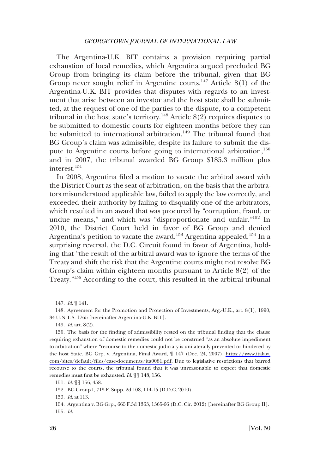The Argentina-U.K. BIT contains a provision requiring partial exhaustion of local remedies, which Argentina argued precluded BG Group from bringing its claim before the tribunal, given that BG Group never sought relief in Argentine courts.<sup>147</sup> Article  $8(1)$  of the Argentina-U.K. BIT provides that disputes with regards to an investment that arise between an investor and the host state shall be submitted, at the request of one of the parties to the dispute, to a competent tribunal in the host state's territory.<sup>148</sup> Article  $8(2)$  requires disputes to be submitted to domestic courts for eighteen months before they can be submitted to international arbitration.<sup>149</sup> The tribunal found that BG Group's claim was admissible, despite its failure to submit the dispute to Argentine courts before going to international arbitration,<sup>150</sup> and in 2007, the tribunal awarded BG Group \$185.3 million plus interest.151

In 2008, Argentina filed a motion to vacate the arbitral award with the District Court as the seat of arbitration, on the basis that the arbitrators misunderstood applicable law, failed to apply the law correctly, and exceeded their authority by failing to disqualify one of the arbitrators, which resulted in an award that was procured by "corruption, fraud, or undue means," and which was "disproportionate and unfair."<sup>152</sup> In 2010, the District Court held in favor of BG Group and denied Argentina's petition to vacate the award.<sup>153</sup> Argentina appealed.<sup>154</sup> In a surprising reversal, the D.C. Circuit found in favor of Argentina, holding that "the result of the arbitral award was to ignore the terms of the Treaty and shift the risk that the Argentine courts might not resolve BG Group's claim within eighteen months pursuant to Article 8(2) of the Treaty."155 According to the court, this resulted in the arbitral tribunal

152. BG Group I, 715 F. Supp. 2d 108, 114-15 (D.D.C. 2010).

153. *Id*. at 113.

<sup>147.</sup> *Id*. ¶ 141.

<sup>148.</sup> Agreement for the Promotion and Protection of Investments, Arg.-U.K., art. 8(1), 1990, 34 U.N.T.S. 1765 [hereinafter Argentina-U.K. BIT].

<sup>149.</sup> *Id*. art. 8(2).

<sup>150.</sup> The basis for the finding of admissibility rested on the tribunal finding that the clause requiring exhaustion of domestic remedies could not be construed "as an absolute impediment to arbitration" where "recourse to the domestic judiciary is unilaterally prevented or hindered by the host State. BG Grp. v. Argentina, Final Award, ¶ 147 (Dec. 24, 2007), [https://www.italaw.](https://www.italaw.com/sites/default/files/case-documents/ita0081.pdf) [com/sites/default/files/case-documents/ita0081.pdf.](https://www.italaw.com/sites/default/files/case-documents/ita0081.pdf) Due to legislative restrictions that barred recourse to the courts, the tribunal found that it was unreasonable to expect that domestic remedies must first be exhausted. *Id*. ¶¶ 148, 156.

<sup>151.</sup> *Id*. ¶¶ 156, 458.

<sup>154.</sup> Argentina v. BG Grp., 665 F.3d 1363, 1365-66 (D.C. Cir. 2012) [hereinafter BG Group II]. 155. *Id*.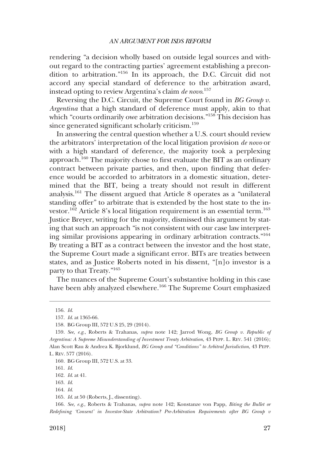rendering "a decision wholly based on outside legal sources and without regard to the contracting parties' agreement establishing a precondition to arbitration."156 In its approach, the D.C. Circuit did not accord any special standard of deference to the arbitration award, instead opting to review Argentina's claim *de novo*. 157

Reversing the D.C. Circuit, the Supreme Court found in *BG Group v. Argentina* that a high standard of deference must apply, akin to that which "courts ordinarily owe arbitration decisions."<sup>158</sup> This decision has since generated significant scholarly criticism.<sup>159</sup>

In answering the central question whether a U.S. court should review the arbitrators' interpretation of the local litigation provision *de novo* or with a high standard of deference, the majority took a perplexing approach.160 The majority chose to first evaluate the BIT as an ordinary contract between private parties, and then, upon finding that deference would be accorded to arbitrators in a domestic situation, determined that the BIT, being a treaty should not result in different analysis.161 The dissent argued that Article 8 operates as a "unilateral standing offer" to arbitrate that is extended by the host state to the investor.<sup>162</sup> Article 8's local litigation requirement is an essential term.<sup>163</sup> Justice Breyer, writing for the majority, dismissed this argument by stating that such an approach "is not consistent with our case law interpreting similar provisions appearing in ordinary arbitration contracts."<sup>164</sup> By treating a BIT as a contract between the investor and the host state, the Supreme Court made a significant error. BITs are treaties between states, and as Justice Roberts noted in his dissent, "[n]o investor is a party to that Treaty."165

The nuances of the Supreme Court's substantive holding in this case have been ably analyzed elsewhere.<sup>166</sup> The Supreme Court emphasized

<sup>156.</sup> *Id*.

<sup>157.</sup> *Id*. at 1365-66.

<sup>158.</sup> BG Group III, 572 U.S 25, 29 (2014).

<sup>159.</sup> *See, e.g*., Roberts & Trahanas, *supra* note 142; Jarrod Wong, *BG Group v. Republic of Argentina: A Supreme Misunderstanding of Investment Treaty Arbitration*, 43 PEPP. L. REV. 541 (2016); Alan Scott Rau & Andrea K. Bjorklund, *BG Group and "Conditions" to Arbitral Jurisdiction*, 43 PEPP. L. REV. 577 (2016).

<sup>160.</sup> BG Group III, 572 U.S. at 33.

<sup>161.</sup> *Id*.

<sup>162.</sup> *Id*. at 41.

<sup>163.</sup> *Id*.

<sup>164.</sup> *Id*.

<sup>165.</sup> *Id*. at 50 (Roberts, J., dissenting).

<sup>166.</sup> *See, e.g*., Roberts & Trahanas, *supra* note 142; Konstanze von Papp, *Biting the Bullet or Redefining 'Consent' in Investor-State Arbitration? Pre-Arbitration Requirements after BG Group v*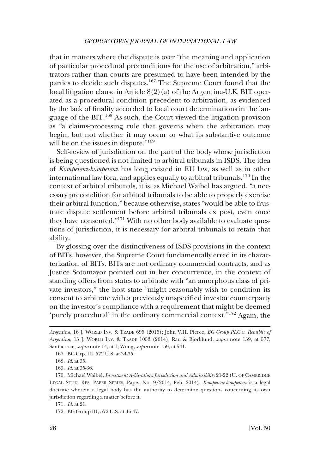that in matters where the dispute is over "the meaning and application of particular procedural preconditions for the use of arbitration," arbitrators rather than courts are presumed to have been intended by the parties to decide such disputes.167 The Supreme Court found that the local litigation clause in Article 8(2)(a) of the Argentina-U.K. BIT operated as a procedural condition precedent to arbitration, as evidenced by the lack of finality accorded to local court determinations in the language of the BIT.168 As such, the Court viewed the litigation provision as "a claims-processing rule that governs when the arbitration may begin, but not whether it may occur or what its substantive outcome will be on the issues in dispute."<sup>169</sup>

Self-review of jurisdiction on the part of the body whose jurisdiction is being questioned is not limited to arbitral tribunals in ISDS. The idea of *Kompetenz-kompetenz* has long existed in EU law, as well as in other international law fora, and applies equally to arbitral tribunals.<sup>170</sup> In the context of arbitral tribunals, it is, as Michael Waibel has argued, "a necessary precondition for arbitral tribunals to be able to properly exercise their arbitral function," because otherwise, states "would be able to frustrate dispute settlement before arbitral tribunals ex post, even once they have consented."171 With no other body available to evaluate questions of jurisdiction, it is necessary for arbitral tribunals to retain that ability.

By glossing over the distinctiveness of ISDS provisions in the context of BITs, however, the Supreme Court fundamentally erred in its characterization of BITs. BITs are not ordinary commercial contracts, and as Justice Sotomayor pointed out in her concurrence, in the context of standing offers from states to arbitrate with "an amorphous class of private investors," the host state "might reasonably wish to condition its consent to arbitrate with a previously unspecified investor counterparty on the investor's compliance with a requirement that might be deemed 'purely procedural' in the ordinary commercial context."172 Again, the

*Argentina*, 16 J. WORLD INV. & TRADE 695 (2015); John V.H. Pierce, *BG Group PLC v. Republic of Argentina*, 15 J. WORLD INV. & TRADE 1053 (2014); Rau & Bjorklund, *supra* note 159, at 577; Santacroce, *supra* note 14, at 1; Wong, *supra* note 159, at 541.

<sup>167.</sup> BG Grp. III, 572 U.S. at 34-35.

<sup>168.</sup> *Id*. at 35.

<sup>169.</sup> *Id*. at 35-36.

<sup>170.</sup> Michael Waibel, *Investment Arbitration: Jurisdiction and Admissibility* 21-22 (U. OF CAMBRIDGE LEGAL STUD. RES. PAPER SERIES, Paper No. 9/2014, Feb. 2014). *Kompetenz-kompetenz* is a legal doctrine wherein a legal body has the authority to determine questions concerning its own jurisdiction regarding a matter before it.

<sup>171.</sup> *Id*. at 21.

<sup>172.</sup> BG Group III, 572 U.S. at 46-47.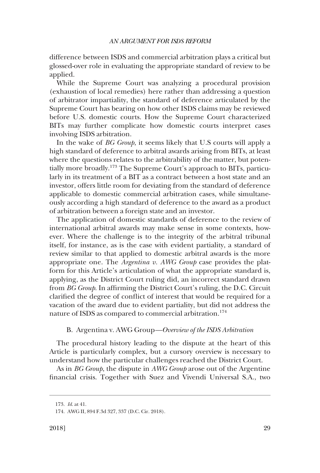<span id="page-28-0"></span>difference between ISDS and commercial arbitration plays a critical but glossed-over role in evaluating the appropriate standard of review to be applied.

While the Supreme Court was analyzing a procedural provision (exhaustion of local remedies) here rather than addressing a question of arbitrator impartiality, the standard of deference articulated by the Supreme Court has bearing on how other ISDS claims may be reviewed before U.S. domestic courts. How the Supreme Court characterized BITs may further complicate how domestic courts interpret cases involving ISDS arbitration.

In the wake of *BG Group*, it seems likely that U.S courts will apply a high standard of deference to arbitral awards arising from BITs, at least where the questions relates to the arbitrability of the matter, but potentially more broadly.173 The Supreme Court's approach to BITs, particularly in its treatment of a BIT as a contract between a host state and an investor, offers little room for deviating from the standard of deference applicable to domestic commercial arbitration cases, while simultaneously according a high standard of deference to the award as a product of arbitration between a foreign state and an investor.

The application of domestic standards of deference to the review of international arbitral awards may make sense in some contexts, however. Where the challenge is to the integrity of the arbitral tribunal itself, for instance, as is the case with evident partiality, a standard of review similar to that applied to domestic arbitral awards is the more appropriate one. The *Argentina v. AWG Group* case provides the platform for this Article's articulation of what the appropriate standard is, applying, as the District Court ruling did, an incorrect standard drawn from *BG Group*. In affirming the District Court's ruling, the D.C. Circuit clarified the degree of conflict of interest that would be required for a vacation of the award due to evident partiality, but did not address the nature of ISDS as compared to commercial arbitration.<sup>174</sup>

# B. Argentina v. AWG Group*—Overview of the ISDS Arbitration*

The procedural history leading to the dispute at the heart of this Article is particularly complex, but a cursory overview is necessary to understand how the particular challenges reached the District Court.

As in *BG Group*, the dispute in *AWG Group* arose out of the Argentine financial crisis. Together with Suez and Vivendi Universal S.A., two

<sup>173.</sup> *Id*. at 41.

<sup>174.</sup> AWG II, 894 F.3d 327, 337 (D.C. Cir. 2018).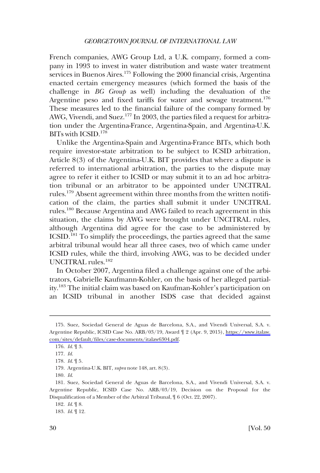French companies, AWG Group Ltd, a U.K. company, formed a company in 1993 to invest in water distribution and waste water treatment services in Buenos Aires.<sup>175</sup> Following the 2000 financial crisis, Argentina enacted certain emergency measures (which formed the basis of the challenge in *BG Group* as well) including the devaluation of the Argentine peso and fixed tariffs for water and sewage treatment.<sup>176</sup> These measures led to the financial failure of the company formed by AWG, Vivendi, and Suez.<sup>177</sup> In 2003, the parties filed a request for arbitration under the Argentina-France, Argentina-Spain, and Argentina-U.K. BITs with ICSID.178

Unlike the Argentina-Spain and Argentina-France BITs, which both require investor-state arbitration to be subject to ICSID arbitration, Article 8(3) of the Argentina-U.K. BIT provides that where a dispute is referred to international arbitration, the parties to the dispute may agree to refer it either to ICSID or may submit it to an ad hoc arbitration tribunal or an arbitrator to be appointed under UNCITRAL rules.<sup>179</sup> Absent agreement within three months from the written notification of the claim, the parties shall submit it under UNCITRAL rules.180 Because Argentina and AWG failed to reach agreement in this situation, the claims by AWG were brought under UNCITRAL rules, although Argentina did agree for the case to be administered by ICSID.181 To simplify the proceedings, the parties agreed that the same arbitral tribunal would hear all three cases, two of which came under ICSID rules, while the third, involving AWG, was to be decided under UNCITRAL rules.<sup>182</sup>

In October 2007, Argentina filed a challenge against one of the arbitrators, Gabrielle Kaufmann-Kohler, on the basis of her alleged partiality.183 The initial claim was based on Kaufman-Kohler's participation on an ICSID tribunal in another ISDS case that decided against

<sup>175.</sup> Suez, Sociedad General de Aguas de Barcelona, S.A., and Vivendi Universal, S.A. v. Argentine Republic, ICSID Case No. ARB/03/19, Award ¶ 2 (Apr. 9, 2015), [https://www.italaw.](https://www.italaw.com/sites/default/files/case-documents/italaw6304.pdf) [com/sites/default/files/case-documents/italaw6304.pdf.](https://www.italaw.com/sites/default/files/case-documents/italaw6304.pdf)

<sup>176.</sup> *Id*. ¶ 3.

<sup>177.</sup> *Id*.

<sup>178.</sup> *Id*. ¶ 5.

<sup>179.</sup> Argentina-U.K. BIT, *supra* note 148, art. 8(3).

<sup>180.</sup> *Id*.

<sup>181.</sup> Suez, Sociedad General de Aguas de Barcelona, S.A., and Vivendi Universal, S.A. v. Argentine Republic, ICSID Case No. ARB/03/19, Decision on the Proposal for the Disqualification of a Member of the Arbitral Tribunal, ¶ 6 (Oct. 22, 2007).

<sup>182.</sup> *Id*. ¶ 8.

<sup>183.</sup> *Id*. ¶ 12.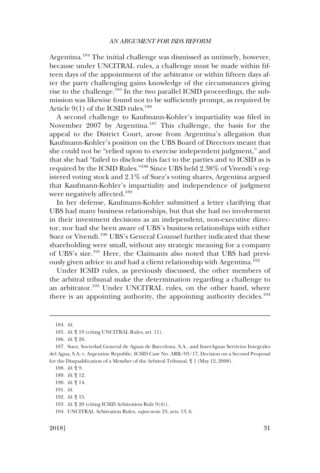Argentina.184 The initial challenge was dismissed as untimely, however, because under UNCITRAL rules, a challenge must be made within fifteen days of the appointment of the arbitrator or within fifteen days after the party challenging gains knowledge of the circumstances giving rise to the challenge.<sup>185</sup> In the two parallel ICSID proceedings, the submission was likewise found not to be sufficiently prompt, as required by Article  $9(1)$  of the ICSID rules.<sup>186</sup>

A second challenge to Kaufmann-Kohler's impartiality was filed in November 2007 by Argentina.187 This challenge, the basis for the appeal to the District Court, arose from Argentina's allegation that Kaufmann-Kohler's position on the UBS Board of Directors meant that she could not be "relied upon to exercise independent judgment," and that she had "failed to disclose this fact to the parties and to ICSID as is required by the ICSID Rules."188 Since UBS held 2.38% of Vivendi's registered voting stock and 2.1% of Suez's voting shares, Argentina argued that Kaufmann-Kohler's impartiality and independence of judgment were negatively affected.<sup>189</sup>

In her defense, Kaufmann-Kohler submitted a letter clarifying that UBS had many business relationships, but that she had no involvement in their investment decisions as an independent, non-executive director, nor had she been aware of UBS's business relationships with either Suez or Vivendi.<sup>190</sup> UBS's General Counsel further indicated that these shareholding were small, without any strategic meaning for a company of UBS's size.191 Here, the Claimants also noted that UBS had previously given advice to and had a client relationship with Argentina.<sup>192</sup>

Under ICSID rules, as previously discussed, the other members of the arbitral tribunal make the determination regarding a challenge to an arbitrator.193 Under UNCITRAL rules, on the other hand, where there is an appointing authority, the appointing authority decides.<sup>194</sup>

<sup>184.</sup> *Id*.

<sup>185.</sup> *Id*. ¶ 19 (citing UNCITRAL Rules, art. 11).

<sup>186.</sup> *Id*. ¶ 26.

<sup>187.</sup> Suez, Sociedad General de Aguas de Barcelona, S.A., and InterAguas Servicios Integrales del Agua, S.A. v. Argentine Republic, ICSID Case No. ARB/03/17, Decision on a Second Proposal for the Disqualification of a Member of the Arbitral Tribunal, ¶ 1 (May 12, 2008).

<sup>188.</sup> *Id*. ¶ 9.

<sup>189.</sup> *Id*. ¶ 12.

<sup>190.</sup> *Id*. ¶ 14.

<sup>191.</sup> *Id*.

<sup>192.</sup> *Id*. ¶ 15.

<sup>193.</sup> *Id*. ¶ 20 (citing ICSID Arbitration Rule 9(4)).

<sup>194.</sup> UNCITRAL Arbitration Rules, *supra* note 23, arts. 13, 6.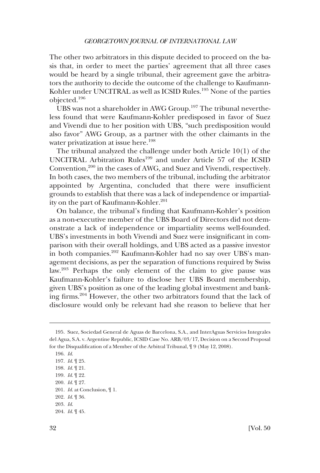The other two arbitrators in this dispute decided to proceed on the basis that, in order to meet the parties' agreement that all three cases would be heard by a single tribunal, their agreement gave the arbitrators the authority to decide the outcome of the challenge to Kaufmann-Kohler under UNCITRAL as well as ICSID Rules.<sup>195</sup> None of the parties objected.196

UBS was not a shareholder in AWG Group.<sup>197</sup> The tribunal nevertheless found that were Kaufmann-Kohler predisposed in favor of Suez and Vivendi due to her position with UBS, "such predisposition would also favor" AWG Group, as a partner with the other claimants in the water privatization at issue here.<sup>198</sup>

The tribunal analyzed the challenge under both Article 10(1) of the UNCITRAL Arbitration Rules<sup>199</sup> and under Article 57 of the ICSID Convention,200 in the cases of AWG, and Suez and Vivendi, respectively. In both cases, the two members of the tribunal, including the arbitrator appointed by Argentina, concluded that there were insufficient grounds to establish that there was a lack of independence or impartiality on the part of Kaufmann-Kohler.<sup>201</sup>

On balance, the tribunal's finding that Kaufmann-Kohler's position as a non-executive member of the UBS Board of Directors did not demonstrate a lack of independence or impartiality seems well-founded. UBS's investments in both Vivendi and Suez were insignificant in comparison with their overall holdings, and UBS acted as a passive investor in both companies.202 Kaufmann-Kohler had no say over UBS's management decisions, as per the separation of functions required by Swiss law.<sup>203</sup> Perhaps the only element of the claim to give pause was Kaufmann-Kohler's failure to disclose her UBS Board membership, given UBS's position as one of the leading global investment and banking firms.204 However, the other two arbitrators found that the lack of disclosure would only be relevant had she reason to believe that her

<sup>195.</sup> Suez, Sociedad General de Aguas de Barcelona, S.A., and InterAguas Servicios Integrales del Agua, S.A. v. Argentine Republic, ICSID Case No. ARB/03/17, Decision on a Second Proposal for the Disqualification of a Member of the Arbitral Tribunal, ¶ 9 (May 12, 2008).

<sup>196.</sup> *Id*.

<sup>197.</sup> *Id*. ¶ 25. 198. *Id*. ¶ 21. 199. *Id*. ¶ 22. 200. *Id*. ¶ 27. 201. *Id*. at Conclusion, ¶ 1. 202. *Id*. ¶ 36. 203. *Id*. 204. *Id*. ¶ 45.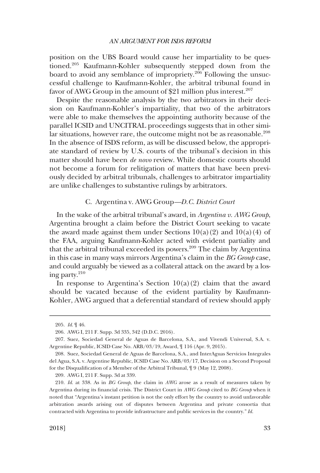<span id="page-32-0"></span>position on the UBS Board would cause her impartiality to be questioned.205 Kaufmann-Kohler subsequently stepped down from the board to avoid any semblance of impropriety.<sup>206</sup> Following the unsuccessful challenge to Kaufmann-Kohler, the arbitral tribunal found in favor of AWG Group in the amount of \$21 million plus interest.<sup>207</sup>

Despite the reasonable analysis by the two arbitrators in their decision on Kaufmann-Kohler's impartiality, that two of the arbitrators were able to make themselves the appointing authority because of the parallel ICSID and UNCITRAL proceedings suggests that in other similar situations, however rare, the outcome might not be as reasonable.<sup>208</sup> In the absence of ISDS reform, as will be discussed below, the appropriate standard of review by U.S. courts of the tribunal's decision in this matter should have been *de novo* review. While domestic courts should not become a forum for relitigation of matters that have been previously decided by arbitral tribunals, challenges to arbitrator impartiality are unlike challenges to substantive rulings by arbitrators.

# C. Argentina v. AWG Group*—D.C. District Court*

In the wake of the arbitral tribunal's award, in *Argentina v. AWG Group*, Argentina brought a claim before the District Court seeking to vacate the award made against them under Sections  $10(a)(2)$  and  $10(a)(4)$  of the FAA, arguing Kaufmann-Kohler acted with evident partiality and that the arbitral tribunal exceeded its powers.<sup>209</sup> The claim by Argentina in this case in many ways mirrors Argentina's claim in the *BG Group* case, and could arguably be viewed as a collateral attack on the award by a losing party.210

In response to Argentina's Section  $10(a)(2)$  claim that the award should be vacated because of the evident partiality by Kaufmann-Kohler, AWG argued that a deferential standard of review should apply

<sup>205.</sup> *Id*. ¶ 46.

<sup>206.</sup> AWG I, 211 F. Supp. 3d 335, 342 (D.D.C. 2016).

<sup>207.</sup> Suez, Sociedad General de Aguas de Barcelona, S.A., and Vivendi Universal, S.A. v. Argentine Republic, ICSID Case No. ARB/03/19, Award, ¶ 116 (Apr. 9, 2015).

<sup>208.</sup> Suez, Sociedad General de Aguas de Barcelona, S.A., and InterAguas Servicios Integrales del Agua, S.A. v. Argentine Republic, ICSID Case No. ARB/03/17, Decision on a Second Proposal for the Disqualification of a Member of the Arbitral Tribunal, ¶ 9 (May 12, 2008).

<sup>209.</sup> AWG I, 211 F. Supp. 3d at 339.

<sup>210.</sup> *Id*. at 338. As in *BG Group*, the claim in *AWG* arose as a result of measures taken by Argentina during its financial crisis. The District Court in *AWG Group* cited to *BG Group* when it noted that "Argentina's instant petition is not the only effort by the country to avoid unfavorable arbitration awards arising out of disputes between Argentina and private consortia that contracted with Argentina to provide infrastructure and public services in the country." *Id*.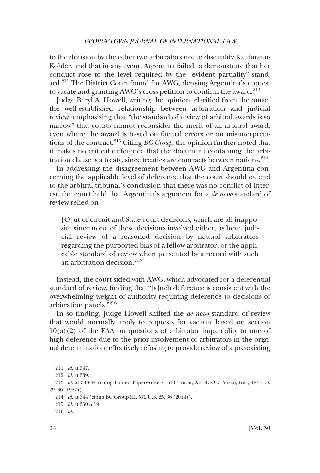to the decision by the other two arbitrators not to disqualify Kaufmann-Kohler, and that in any event, Argentina failed to demonstrate that her conduct rose to the level required by the "evident partiality" standard.211 The District Court found for AWG, denying Argentina's request to vacate and granting AWG's cross-petition to confirm the award.<sup>212</sup>

Judge Beryl A. Howell, writing the opinion, clarified from the outset the well-established relationship between arbitration and judicial review, emphasizing that "the standard of review of arbitral awards is so narrow" that courts cannot reconsider the merit of an arbitral award, even where the award is based on factual errors or on misinterpretations of the contract.213 Citing *BG Group*, the opinion further noted that it makes no critical difference that the document containing the arbitration clause is a treaty, since treaties are contracts between nations.<sup>214</sup>

In addressing the disagreement between AWG and Argentina concerning the applicable level of deference that the court should extend to the arbitral tribunal's conclusion that there was no conflict of interest, the court held that Argentina's argument for a *de novo* standard of review relied on

[O]ut-of-circuit and State court decisions, which are all inapposite since none of these decisions involved either, as here, judicial review of a reasoned decision by neutral arbitrators regarding the purported bias of a fellow arbitrator, or the applicable standard of review when presented by a record with such an arbitration decision.<sup>215</sup>

Instead, the court sided with AWG, which advocated for a deferential standard of review, finding that "[s]uch deference is consistent with the overwhelming weight of authority requiring deference to decisions of arbitration panels."216

In so finding, Judge Howell shifted the *de novo* standard of review that would normally apply to requests for vacatur based on section  $10(a)(2)$  of the FAA on questions of arbitrator impartiality to one of high deference due to the prior involvement of arbitrators in the original determination, effectively refusing to provide review of a pre-existing

<sup>211.</sup> *Id*. at 347.

<sup>212.</sup> *Id*. at 339.

<sup>213.</sup> *Id*. at 343-44 (citing United Paperworkers Int'l Union, AFL-CIO v. Misco, Inc., 484 U.S. 29, 36 (1987)).

<sup>214.</sup> *Id*. at 344 (citing BG Group III, 572 U.S. 25, 36 (2014)).

<sup>215.</sup> *Id*. at 350 n.19.

<sup>216.</sup> *Id*.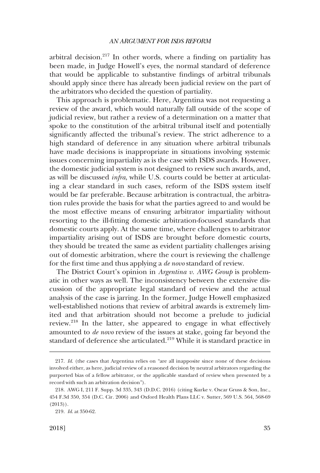arbitral decision. $217$  In other words, where a finding on partiality has been made, in Judge Howell's eyes, the normal standard of deference that would be applicable to substantive findings of arbitral tribunals should apply since there has already been judicial review on the part of the arbitrators who decided the question of partiality.

This approach is problematic. Here, Argentina was not requesting a review of the award, which would naturally fall outside of the scope of judicial review, but rather a review of a determination on a matter that spoke to the constitution of the arbitral tribunal itself and potentially significantly affected the tribunal's review. The strict adherence to a high standard of deference in any situation where arbitral tribunals have made decisions is inappropriate in situations involving systemic issues concerning impartiality as is the case with ISDS awards. However, the domestic judicial system is not designed to review such awards, and, as will be discussed *infra*, while U.S. courts could be better at articulating a clear standard in such cases, reform of the ISDS system itself would be far preferable. Because arbitration is contractual, the arbitration rules provide the basis for what the parties agreed to and would be the most effective means of ensuring arbitrator impartiality without resorting to the ill-fitting domestic arbitration-focused standards that domestic courts apply. At the same time, where challenges to arbitrator impartiality arising out of ISDS are brought before domestic courts, they should be treated the same as evident partiality challenges arising out of domestic arbitration, where the court is reviewing the challenge for the first time and thus applying a *de novo* standard of review.

The District Court's opinion in *Argentina v. AWG Group* is problematic in other ways as well. The inconsistency between the extensive discussion of the appropriate legal standard of review and the actual analysis of the case is jarring. In the former, Judge Howell emphasized well-established notions that review of arbitral awards is extremely limited and that arbitration should not become a prelude to judicial review.218 In the latter, she appeared to engage in what effectively amounted to *de novo* review of the issues at stake, going far beyond the standard of deference she articulated.<sup>219</sup> While it is standard practice in

<sup>217.</sup> *Id*. (the cases that Argentina relies on "are all inapposite since none of these decisions involved either, as here, judicial review of a reasoned decision by neutral arbitrators regarding the purported bias of a fellow arbitrator, or the applicable standard of review when presented by a record with such an arbitration decision").

<sup>218.</sup> AWG I, 211 F. Supp. 3d 335, 343 (D.D.C. 2016) (citing Kurke v. Oscar Gruss & Son, Inc., 454 F.3d 350, 354 (D.C. Cir. 2006) and Oxford Health Plans LLC v. Sutter, 569 U.S. 564, 568-69  $(2013)$ .

<sup>219.</sup> *Id*. at 350-62.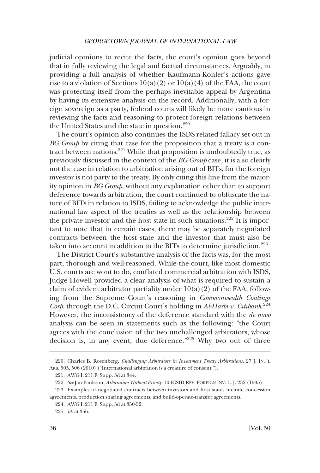judicial opinions to recite the facts, the court's opinion goes beyond that in fully reviewing the legal and factual circumstances. Arguably, in providing a full analysis of whether Kaufmann-Kohler's actions gave rise to a violation of Sections  $10(a)(2)$  or  $10(a)(4)$  of the FAA, the court was protecting itself from the perhaps inevitable appeal by Argentina by having its extensive analysis on the record. Additionally, with a foreign sovereign as a party, federal courts will likely be more cautious in reviewing the facts and reasoning to protect foreign relations between the United States and the state in question.<sup>220</sup>

The court's opinion also continues the ISDS-related fallacy set out in *BG Group* by citing that case for the proposition that a treaty is a contract between nations.221 While that proposition is undoubtedly true, as previously discussed in the context of the *BG Group* case, it is also clearly not the case in relation to arbitration arising out of BITs, for the foreign investor is not party to the treaty. By only citing this line from the majority opinion in *BG Group*, without any explanation other than to support deference towards arbitration, the court continued to obfuscate the nature of BITs in relation to ISDS, failing to acknowledge the public international law aspect of the treaties as well as the relationship between the private investor and the host state in such situations.<sup>222</sup> It is important to note that in certain cases, there may be separately negotiated contracts between the host state and the investor that must also be taken into account in addition to the BITs to determine jurisdiction.<sup>223</sup>

The District Court's substantive analysis of the facts was, for the most part, thorough and well-reasoned. While the court, like most domestic U.S. courts are wont to do, conflated commercial arbitration with ISDS, Judge Howell provided a clear analysis of what is required to sustain a claim of evident arbitrator partiality under  $10(a)(2)$  of the FAA, following from the Supreme Court's reasoning in *Commonwealth Coatings Corp*. through the D.C. Circuit Court's holding in *Al-Harbi v. Citibank*. 224 However, the inconsistency of the deference standard with the *de novo*  analysis can be seen in statements such as the following: "the Court agrees with the conclusion of the two unchallenged arbitrators, whose decision is, in any event, due deference."225 Why two out of three

<sup>220.</sup> Charles B. Rosenberg, *Challenging Arbitrators in Investment Treaty Arbitrations*, 27 J. INT'L ARB. 505, 506 (2010) ("International arbitration is a creature of consent.").

<sup>221.</sup> AWG I, 211 F. Supp. 3d at 344.

<sup>222.</sup> *See* Jan Paulsson, *Arbitration Without Privity*, 10 ICSID REV. FOREIGN INV. L. J. 232 (1995).

<sup>223.</sup> Examples of negotiated contracts between investors and host states include concession agreements, production sharing agreements, and build-operate-transfer agreements.

<sup>224.</sup> AWG I, 211 F. Supp. 3d at 350-52.

<sup>225.</sup> *Id*. at 356.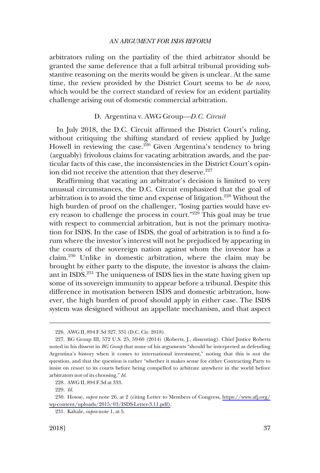# *AN ARGUMENT FOR ISDS REFORM*

<span id="page-36-0"></span>arbitrators ruling on the partiality of the third arbitrator should be granted the same deference that a full arbitral tribunal providing substantive reasoning on the merits would be given is unclear. At the same time, the review provided by the District Court seems to be *de novo*, which would be the correct standard of review for an evident partiality challenge arising out of domestic commercial arbitration.

# D. Argentina v. AWG Group*—D.C. Circuit*

In July 2018, the D.C. Circuit affirmed the District Court's ruling, without critiquing the shifting standard of review applied by Judge Howell in reviewing the case.<sup>226</sup> Given Argentina's tendency to bring (arguably) frivolous claims for vacating arbitration awards, and the particular facts of this case, the inconsistencies in the District Court's opinion did not receive the attention that they deserve. $227$ 

Reaffirming that vacating an arbitrator's decision is limited to very unusual circumstances, the D.C. Circuit emphasized that the goal of arbitration is to avoid the time and expense of litigation.<sup>228</sup> Without the high burden of proof on the challenger, "losing parties would have every reason to challenge the process in court."229 This goal may be true with respect to commercial arbitration, but is not the primary motivation for ISDS. In the case of ISDS, the goal of arbitration is to find a forum where the investor's interest will not be prejudiced by appearing in the courts of the sovereign nation against whom the investor has a claim.230 Unlike in domestic arbitration, where the claim may be brought by either party to the dispute, the investor is always the claimant in ISDS.231 The uniqueness of ISDS lies in the state having given up some of its sovereign immunity to appear before a tribunal. Despite this difference in motivation between ISDS and domestic arbitration, however, the high burden of proof should apply in either case. The ISDS system was designed without an appellate mechanism, and that aspect

<sup>226.</sup> AWG II, 894 F.3d 327, 331 (D.C. Cir. 2018).

<sup>227.</sup> BG Group III, 572 U.S. 25, 59-60 (2014) (Roberts, J., dissenting). Chief Justice Roberts noted in his dissent in *BG Group* that none of his arguments "should be interpreted as defending Argentina's history when it comes to international investment," noting that this is not the question, and that the question is rather "whether it makes sense for either Contracting Party to insist on resort to its courts before being compelled to arbitrate anywhere in the world before arbitrators not of its choosing." *Id*.

<sup>228.</sup> AWG II, 894 F.3d at 333.

<sup>229.</sup> *Id*.

<sup>230.</sup> Howse, *supra* note 26, at 2 (citing Letter to Members of Congress, [https://www.afj.org/](http://dcclims1.dccouncil.us/images/00001/20130212120747.pdf) [wp-content/uploads/2015/03/ISDS-Letter-3.11.pdf\).](http://dcclims1.dccouncil.us/images/00001/20130212120747.pdf)

<sup>231.</sup> Kahale, *supra* note 1, at 5.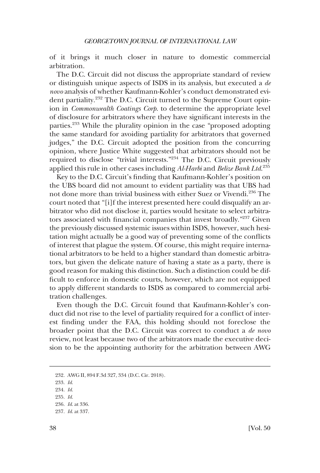of it brings it much closer in nature to domestic commercial arbitration.

The D.C. Circuit did not discuss the appropriate standard of review or distinguish unique aspects of ISDS in its analysis, but executed a *de novo* analysis of whether Kaufmann-Kohler's conduct demonstrated evident partiality.232 The D.C. Circuit turned to the Supreme Court opinion in *Commonwealth Coatings Corp*. to determine the appropriate level of disclosure for arbitrators where they have significant interests in the parties.233 While the plurality opinion in the case "proposed adopting the same standard for avoiding partiality for arbitrators that governed judges," the D.C. Circuit adopted the position from the concurring opinion, where Justice White suggested that arbitrators should not be required to disclose "trivial interests."234 The D.C. Circuit previously applied this rule in other cases including *Al-Harbi* and *Belize Bank Ltd*. 235

Key to the D.C. Circuit's finding that Kaufmann-Kohler's position on the UBS board did not amount to evident partiality was that UBS had not done more than trivial business with either Suez or Vivendi.<sup>236</sup> The court noted that "[i]f the interest presented here could disqualify an arbitrator who did not disclose it, parties would hesitate to select arbitrators associated with financial companies that invest broadly."<sup>237</sup> Given the previously discussed systemic issues within ISDS, however, such hesitation might actually be a good way of preventing some of the conflicts of interest that plague the system. Of course, this might require international arbitrators to be held to a higher standard than domestic arbitrators, but given the delicate nature of having a state as a party, there is good reason for making this distinction. Such a distinction could be difficult to enforce in domestic courts, however, which are not equipped to apply different standards to ISDS as compared to commercial arbitration challenges.

Even though the D.C. Circuit found that Kaufmann-Kohler's conduct did not rise to the level of partiality required for a conflict of interest finding under the FAA, this holding should not foreclose the broader point that the D.C. Circuit was correct to conduct a *de novo*  review, not least because two of the arbitrators made the executive decision to be the appointing authority for the arbitration between AWG

<sup>232.</sup> AWG II, 894 F.3d 327, 334 (D.C. Cir. 2018).

<sup>233.</sup> *Id*.

<sup>234.</sup> *Id*.

<sup>235.</sup> *Id*.

<sup>236.</sup> *Id*. at 336.

<sup>237.</sup> *Id*. at 337.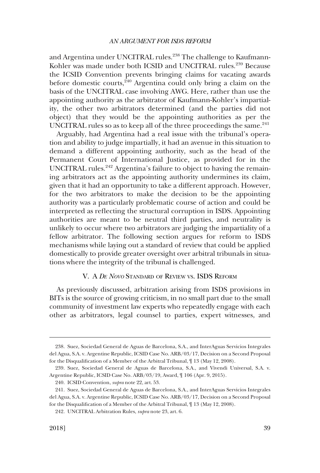# *AN ARGUMENT FOR ISDS REFORM*

<span id="page-38-0"></span>and Argentina under UNCITRAL rules.<sup>238</sup> The challenge to Kaufmann-Kohler was made under both ICSID and UNCITRAL rules.<sup>239</sup> Because the ICSID Convention prevents bringing claims for vacating awards before domestic courts, $240$  Argentina could only bring a claim on the basis of the UNCITRAL case involving AWG. Here, rather than use the appointing authority as the arbitrator of Kaufmann-Kohler's impartiality, the other two arbitrators determined (and the parties did not object) that they would be the appointing authorities as per the UNCITRAL rules so as to keep all of the three proceedings the same. $241$ 

Arguably, had Argentina had a real issue with the tribunal's operation and ability to judge impartially, it had an avenue in this situation to demand a different appointing authority, such as the head of the Permanent Court of International Justice, as provided for in the UNCITRAL rules. $^{242}$  Argentina's failure to object to having the remaining arbitrators act as the appointing authority undermines its claim, given that it had an opportunity to take a different approach. However, for the two arbitrators to make the decision to be the appointing authority was a particularly problematic course of action and could be interpreted as reflecting the structural corruption in ISDS. Appointing authorities are meant to be neutral third parties, and neutrality is unlikely to occur where two arbitrators are judging the impartiality of a fellow arbitrator. The following section argues for reform to ISDS mechanisms while laying out a standard of review that could be applied domestically to provide greater oversight over arbitral tribunals in situations where the integrity of the tribunal is challenged.

# V. A *DE NOVO* STANDARD OF REVIEW VS. ISDS REFORM

As previously discussed, arbitration arising from ISDS provisions in BITs is the source of growing criticism, in no small part due to the small community of investment law experts who repeatedly engage with each other as arbitrators, legal counsel to parties, expert witnesses, and

<sup>238.</sup> Suez, Sociedad General de Aguas de Barcelona, S.A., and InterAguas Servicios Integrales del Agua, S.A. v. Argentine Republic, ICSID Case No. ARB/03/17, Decision on a Second Proposal for the Disqualification of a Member of the Arbitral Tribunal, ¶ 13 (May 12, 2008).

<sup>239.</sup> Suez, Sociedad General de Aguas de Barcelona, S.A., and Vivendi Universal, S.A. v. Argentine Republic, ICSID Case No. ARB/03/19, Award, ¶ 106 (Apr. 9, 2015).

<sup>240.</sup> ICSID Convention, *supra* note 22, art. 53.

<sup>241.</sup> Suez, Sociedad General de Aguas de Barcelona, S.A., and InterAguas Servicios Integrales del Agua, S.A. v. Argentine Republic, ICSID Case No. ARB/03/17, Decision on a Second Proposal for the Disqualification of a Member of the Arbitral Tribunal, ¶ 13 (May 12, 2008).

<sup>242.</sup> UNCITRAL Arbitration Rules, *supra* note 23, art. 6.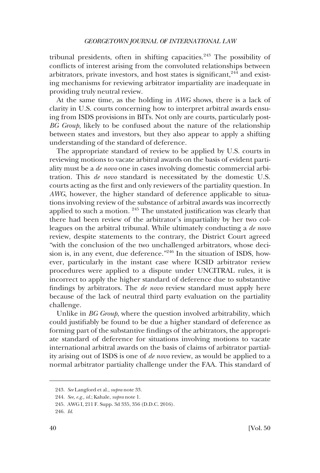tribunal presidents, often in shifting capacities. $243$  The possibility of conflicts of interest arising from the convoluted relationships between arbitrators, private investors, and host states is significant,<sup>244</sup> and existing mechanisms for reviewing arbitrator impartiality are inadequate in providing truly neutral review.

At the same time, as the holding in *AWG* shows, there is a lack of clarity in U.S. courts concerning how to interpret arbitral awards ensuing from ISDS provisions in BITs. Not only are courts, particularly post-*BG Group*, likely to be confused about the nature of the relationship between states and investors, but they also appear to apply a shifting understanding of the standard of deference.

The appropriate standard of review to be applied by U.S. courts in reviewing motions to vacate arbitral awards on the basis of evident partiality must be a *de novo* one in cases involving domestic commercial arbitration. This *de novo* standard is necessitated by the domestic U.S. courts acting as the first and only reviewers of the partiality question. In *AWG*, however, the higher standard of deference applicable to situations involving review of the substance of arbitral awards was incorrectly applied to such a motion. 245 The unstated justification was clearly that there had been review of the arbitrator's impartiality by her two colleagues on the arbitral tribunal. While ultimately conducting a *de novo*  review, despite statements to the contrary, the District Court agreed "with the conclusion of the two unchallenged arbitrators, whose decision is, in any event, due deference."246 In the situation of ISDS, however, particularly in the instant case where ICSID arbitrator review procedures were applied to a dispute under UNCITRAL rules, it is incorrect to apply the higher standard of deference due to substantive findings by arbitrators. The *de novo* review standard must apply here because of the lack of neutral third party evaluation on the partiality challenge.

Unlike in *BG Group*, where the question involved arbitrability, which could justifiably be found to be due a higher standard of deference as forming part of the substantive findings of the arbitrators, the appropriate standard of deference for situations involving motions to vacate international arbitral awards on the basis of claims of arbitrator partiality arising out of ISDS is one of *de novo* review, as would be applied to a normal arbitrator partiality challenge under the FAA. This standard of

<sup>243.</sup> *See* Langford et al., *supra* note 33.

<sup>244.</sup> *See, e.g*.*, id*.; Kahale, *supra* note 1.

<sup>245.</sup> AWG I, 211 F. Supp. 3d 335, 356 (D.D.C. 2016).

<sup>246.</sup> *Id*.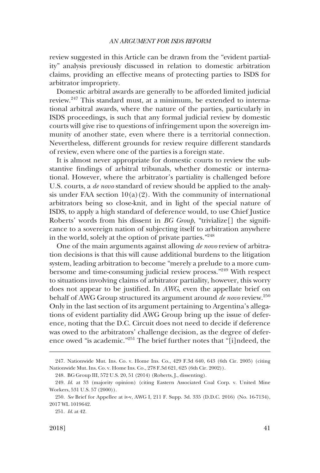review suggested in this Article can be drawn from the "evident partiality" analysis previously discussed in relation to domestic arbitration claims, providing an effective means of protecting parties to ISDS for arbitrator impropriety.

Domestic arbitral awards are generally to be afforded limited judicial review.247 This standard must, at a minimum, be extended to international arbitral awards, where the nature of the parties, particularly in ISDS proceedings, is such that any formal judicial review by domestic courts will give rise to questions of infringement upon the sovereign immunity of another state, even where there is a territorial connection. Nevertheless, different grounds for review require different standards of review, even where one of the parties is a foreign state.

It is almost never appropriate for domestic courts to review the substantive findings of arbitral tribunals, whether domestic or international. However, where the arbitrator's partiality is challenged before U.S. courts, a *de novo* standard of review should be applied to the analysis under FAA section  $10(a)(2)$ . With the community of international arbitrators being so close-knit, and in light of the special nature of ISDS, to apply a high standard of deference would, to use Chief Justice Roberts' words from his dissent in *BG Group*, "trivialize[] the significance to a sovereign nation of subjecting itself to arbitration anywhere in the world, solely at the option of private parties."248

One of the main arguments against allowing *de novo* review of arbitration decisions is that this will cause additional burdens to the litigation system, leading arbitration to become "merely a prelude to a more cumbersome and time-consuming judicial review process."249 With respect to situations involving claims of arbitrator partiality, however, this worry does not appear to be justified. In *AWG*, even the appellate brief on behalf of AWG Group structured its argument around *de novo* review.250 Only in the last section of its argument pertaining to Argentina's allegations of evident partiality did AWG Group bring up the issue of deference, noting that the D.C. Circuit does not need to decide if deference was owed to the arbitrators' challenge decision, as the degree of deference owed "is academic."251 The brief further notes that "[i]ndeed, the

<sup>247.</sup> Nationwide Mut. Ins. Co. v. Home Ins. Co., 429 F.3d 640, 643 (6th Cir. 2005) (citing Nationwide Mut. Ins. Co. v. Home Ins. Co., 278 F.3d 621, 625 (6th Cir. 2002)).

<sup>248.</sup> BG Group III, 572 U.S. 20, 51 (2014) (Roberts, J., dissenting).

<sup>249.</sup> *Id*. at 33 (majority opinion) (citing Eastern Associated Coal Corp. v. United Mine Workers, 531 U.S. 57 (2000)).

<sup>250.</sup> *See* Brief for Appellee at iv-v, AWG I, 211 F. Supp. 3d. 335 (D.D.C. 2016) (No. 16-7134), 2017 WL 1019642.

<sup>251.</sup> *Id*. at 42.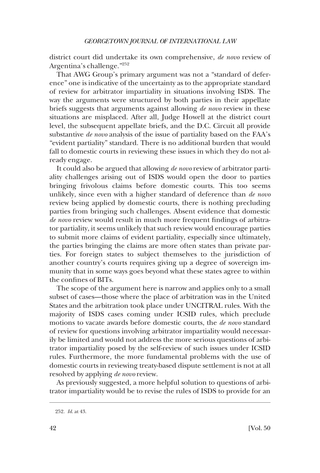district court did undertake its own comprehensive, *de novo* review of Argentina's challenge."252

That AWG Group's primary argument was not a "standard of deference" one is indicative of the uncertainty as to the appropriate standard of review for arbitrator impartiality in situations involving ISDS. The way the arguments were structured by both parties in their appellate briefs suggests that arguments against allowing *de novo* review in these situations are misplaced. After all, Judge Howell at the district court level, the subsequent appellate briefs, and the D.C. Circuit all provide substantive *de novo* analysis of the issue of partiality based on the FAA's "evident partiality" standard. There is no additional burden that would fall to domestic courts in reviewing these issues in which they do not already engage.

It could also be argued that allowing *de novo* review of arbitrator partiality challenges arising out of ISDS would open the door to parties bringing frivolous claims before domestic courts. This too seems unlikely, since even with a higher standard of deference than *de novo*  review being applied by domestic courts, there is nothing precluding parties from bringing such challenges. Absent evidence that domestic *de novo* review would result in much more frequent findings of arbitrator partiality, it seems unlikely that such review would encourage parties to submit more claims of evident partiality, especially since ultimately, the parties bringing the claims are more often states than private parties. For foreign states to subject themselves to the jurisdiction of another country's courts requires giving up a degree of sovereign immunity that in some ways goes beyond what these states agree to within the confines of BITs.

The scope of the argument here is narrow and applies only to a small subset of cases—those where the place of arbitration was in the United States and the arbitration took place under UNCITRAL rules. With the majority of ISDS cases coming under ICSID rules, which preclude motions to vacate awards before domestic courts, the *de novo* standard of review for questions involving arbitrator impartiality would necessarily be limited and would not address the more serious questions of arbitrator impartiality posed by the self-review of such issues under ICSID rules. Furthermore, the more fundamental problems with the use of domestic courts in reviewing treaty-based dispute settlement is not at all resolved by applying *de novo* review.

As previously suggested, a more helpful solution to questions of arbitrator impartiality would be to revise the rules of ISDS to provide for an

<sup>252.</sup> *Id*. at 43.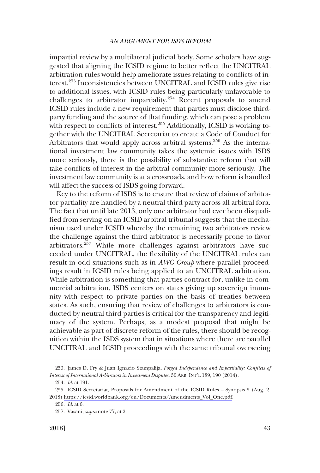impartial review by a multilateral judicial body. Some scholars have suggested that aligning the ICSID regime to better reflect the UNCITRAL arbitration rules would help ameliorate issues relating to conflicts of interest.253 Inconsistencies between UNCITRAL and ICSID rules give rise to additional issues, with ICSID rules being particularly unfavorable to challenges to arbitrator impartiality.<sup>254</sup> Recent proposals to amend ICSID rules include a new requirement that parties must disclose thirdparty funding and the source of that funding, which can pose a problem with respect to conflicts of interest.<sup>255</sup> Additionally, ICSID is working together with the UNCITRAL Secretariat to create a Code of Conduct for Arbitrators that would apply across arbitral systems.<sup>256</sup> As the international investment law community takes the systemic issues with ISDS more seriously, there is the possibility of substantive reform that will take conflicts of interest in the arbitral community more seriously. The investment law community is at a crossroads, and how reform is handled will affect the success of ISDS going forward.

Key to the reform of ISDS is to ensure that review of claims of arbitrator partiality are handled by a neutral third party across all arbitral fora. The fact that until late 2013, only one arbitrator had ever been disqualified from serving on an ICSID arbitral tribunal suggests that the mechanism used under ICSID whereby the remaining two arbitrators review the challenge against the third arbitrator is necessarily prone to favor arbitrators.257 While more challenges against arbitrators have succeeded under UNCITRAL, the flexibility of the UNCITRAL rules can result in odd situations such as in *AWG Group* where parallel proceedings result in ICSID rules being applied to an UNCITRAL arbitration. While arbitration is something that parties contract for, unlike in commercial arbitration, ISDS centers on states giving up sovereign immunity with respect to private parties on the basis of treaties between states. As such, ensuring that review of challenges to arbitrators is conducted by neutral third parties is critical for the transparency and legitimacy of the system. Perhaps, as a modest proposal that might be achievable as part of discrete reform of the rules, there should be recognition within the ISDS system that in situations where there are parallel UNCITRAL and ICSID proceedings with the same tribunal overseeing

<sup>253.</sup> James D. Fry & Juan Ignacio Stampalija, *Forged Independence and Impartiality: Conflicts of Interest of International Arbitrators in Investment Disputes*, 30 ARB. INT'L 189, 190 (2014).

<sup>254.</sup> *Id*. at 191.

<sup>255.</sup> ICSID Secretariat, Proposals for Amendment of the ICSID Rules – Synopsis 5 (Aug. 2, 2018) [https://icsid.worldbank.org/en/Documents/Amendments\\_Vol\\_One.pdf.](https://icsid.worldbank.org/en/Documents/Amendments_Vol_One.pdf)

<sup>256.</sup> *Id*. at 6.

<sup>257.</sup> Vasani, *supra* note 77, at 2.